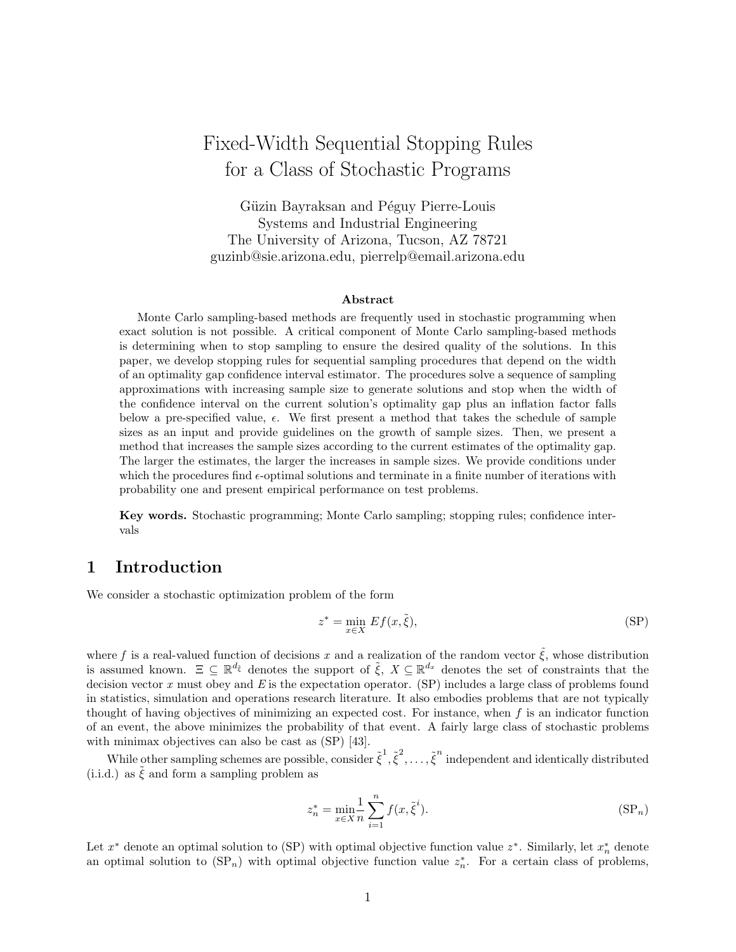# Fixed-Width Sequential Stopping Rules for a Class of Stochastic Programs

Güzin Bayraksan and Péguy Pierre-Louis Systems and Industrial Engineering The University of Arizona, Tucson, AZ 78721 guzinb@sie.arizona.edu, pierrelp@email.arizona.edu

#### **Abstract**

Monte Carlo sampling-based methods are frequently used in stochastic programming when exact solution is not possible. A critical component of Monte Carlo sampling-based methods is determining when to stop sampling to ensure the desired quality of the solutions. In this paper, we develop stopping rules for sequential sampling procedures that depend on the width of an optimality gap confidence interval estimator. The procedures solve a sequence of sampling approximations with increasing sample size to generate solutions and stop when the width of the confidence interval on the current solution's optimality gap plus an inflation factor falls below a pre-specified value, *ϵ*. We first present a method that takes the schedule of sample sizes as an input and provide guidelines on the growth of sample sizes. Then, we present a method that increases the sample sizes according to the current estimates of the optimality gap. The larger the estimates, the larger the increases in sample sizes. We provide conditions under which the procedures find *ϵ*-optimal solutions and terminate in a finite number of iterations with probability one and present empirical performance on test problems.

**Key words.** Stochastic programming; Monte Carlo sampling; stopping rules; confidence intervals

## **1 Introduction**

We consider a stochastic optimization problem of the form

$$
z^* = \min_{x \in X} Ef(x, \tilde{\xi}),\tag{SP}
$$

where f is a real-valued function of decisions x and a realization of the random vector  $\tilde{\xi}$ , whose distribution is assumed known.  $\Xi \subseteq \mathbb{R}^{d_{\tilde{\xi}}}$  denotes the support of  $\tilde{\xi}$ ,  $X \subseteq \mathbb{R}^{d_x}$  denotes the set of constraints that the decision vector *x* must obey and *E* is the expectation operator. (SP) includes a large class of problems found in statistics, simulation and operations research literature. It also embodies problems that are not typically thought of having objectives of minimizing an expected cost. For instance, when *f* is an indicator function of an event, the above minimizes the probability of that event. A fairly large class of stochastic problems with minimax objectives can also be cast as (SP) [43].

While other sampling schemes are possible, consider  $\tilde{\xi}^1, \tilde{\xi}^2, \ldots, \tilde{\xi}^n$  independent and identically distributed  $(i.i.d.)$  as  $\xi$  and form a sampling problem as

$$
z_n^* = \min_{x \in X} \frac{1}{n} \sum_{i=1}^n f(x, \tilde{\xi}^i).
$$
 (SP<sub>n</sub>)

Let *x <sup>∗</sup>* denote an optimal solution to (SP) with optimal objective function value *z ∗* . Similarly, let *x ∗ <sup>n</sup>* denote an optimal solution to  $(SP_n)$  with optimal objective function value  $z_n^*$ . For a certain class of problems,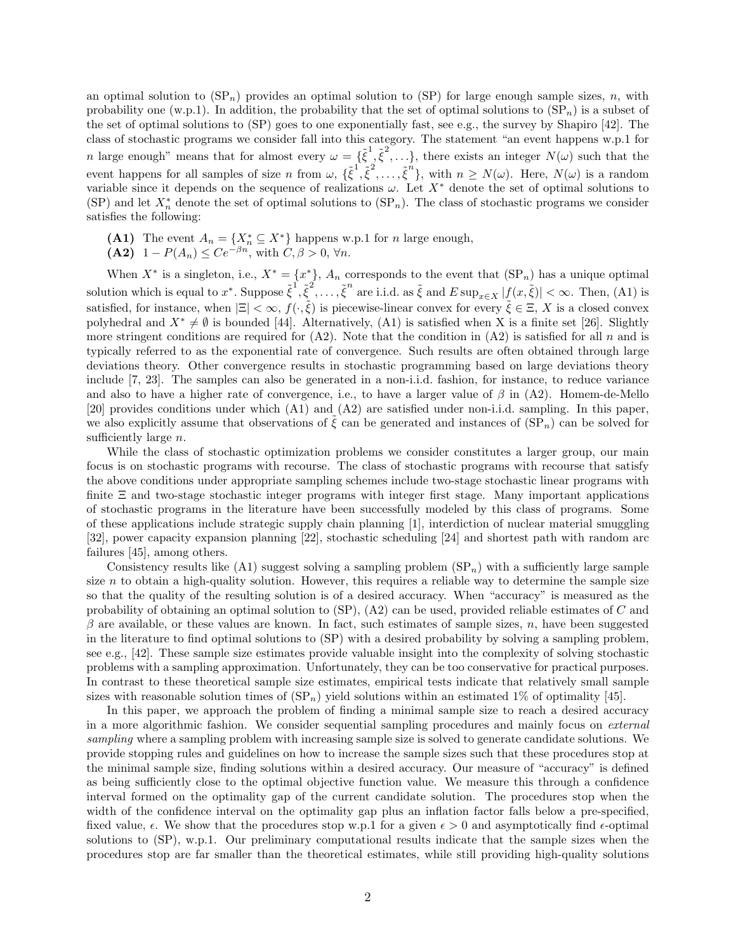an optimal solution to  $(SP_n)$  provides an optimal solution to  $(SP)$  for large enough sample sizes, *n*, with probability one (w.p.1). In addition, the probability that the set of optimal solutions to  $(SP_n)$  is a subset of the set of optimal solutions to (SP) goes to one exponentially fast, see e.g., the survey by Shapiro [42]. The class of stochastic programs we consider fall into this category. The statement "an event happens w.p.1 for *n* large enough" means that for almost every  $\omega = {\{\tilde{\xi}}^1, \tilde{\xi}^2, \ldots\}}$ , there exists an integer  $N(\omega)$  such that the event happens for all samples of size n from  $\omega$ ,  $\{\tilde{\xi}^1, \tilde{\xi}^2, \ldots, \tilde{\xi}^n\}$ , with  $n \geq N(\omega)$ . Here,  $N(\omega)$  is a random variable since it depends on the sequence of realizations  $\omega$ . Let  $X^*$  denote the set of optimal solutions to (SP) and let  $X_n^*$  denote the set of optimal solutions to  $(SP_n)$ . The class of stochastic programs we consider satisfies the following:

- **(A1)** The event  $A_n = \{X_n^* \subseteq X^*\}$  happens w.p.1 for *n* large enough,
- **(A2)** 1 −  $P(A_n) \le Ce^{-\beta n}$ , with  $C, \beta > 0$ ,  $\forall n$ .

When  $X^*$  is a singleton, i.e.,  $X^* = \{x^*\}$ ,  $A_n$  corresponds to the event that  $(\text{SP}_n)$  has a unique optimal solution which is equal to  $x^*$ . Suppose  $\tilde{\xi}^1, \tilde{\xi}^2, \ldots, \tilde{\xi}^n$  are i.i.d. as  $\tilde{\xi}$  and  $E \sup_{x \in X} |f(x, \tilde{\xi})| < \infty$ . Then, (A1) is satisfied, for instance, when  $|\Xi| < \infty$ ,  $f(\cdot, \tilde{\xi})$  is piecewise-linear convex for every  $\tilde{\xi} \in \Xi$ , X is a closed convex polyhedral and  $X^* \neq \emptyset$  is bounded [44]. Alternatively, (A1) is satisfied when X is a finite set [26]. Slightly more stringent conditions are required for (A2). Note that the condition in (A2) is satisfied for all *n* and is typically referred to as the exponential rate of convergence. Such results are often obtained through large deviations theory. Other convergence results in stochastic programming based on large deviations theory include [7, 23]. The samples can also be generated in a non-i.i.d. fashion, for instance, to reduce variance and also to have a higher rate of convergence, i.e., to have a larger value of *β* in (A2). Homem-de-Mello [20] provides conditions under which (A1) and (A2) are satisfied under non-i.i.d. sampling. In this paper, we also explicitly assume that observations of  $\bar{\xi}$  can be generated and instances of  $(SP_n)$  can be solved for sufficiently large *n*.

While the class of stochastic optimization problems we consider constitutes a larger group, our main focus is on stochastic programs with recourse. The class of stochastic programs with recourse that satisfy the above conditions under appropriate sampling schemes include two-stage stochastic linear programs with finite Ξ and two-stage stochastic integer programs with integer first stage. Many important applications of stochastic programs in the literature have been successfully modeled by this class of programs. Some of these applications include strategic supply chain planning [1], interdiction of nuclear material smuggling [32], power capacity expansion planning [22], stochastic scheduling [24] and shortest path with random arc failures [45], among others.

Consistency results like  $(A1)$  suggest solving a sampling problem  $(SP_n)$  with a sufficiently large sample size  $n$  to obtain a high-quality solution. However, this requires a reliable way to determine the sample size so that the quality of the resulting solution is of a desired accuracy. When "accuracy" is measured as the probability of obtaining an optimal solution to (SP), (A2) can be used, provided reliable estimates of *C* and *β* are available, or these values are known. In fact, such estimates of sample sizes, *n*, have been suggested in the literature to find optimal solutions to (SP) with a desired probability by solving a sampling problem, see e.g., [42]. These sample size estimates provide valuable insight into the complexity of solving stochastic problems with a sampling approximation. Unfortunately, they can be too conservative for practical purposes. In contrast to these theoretical sample size estimates, empirical tests indicate that relatively small sample sizes with reasonable solution times of  $(SP_n)$  yield solutions within an estimated 1% of optimality [45].

In this paper, we approach the problem of finding a minimal sample size to reach a desired accuracy in a more algorithmic fashion. We consider sequential sampling procedures and mainly focus on *external sampling* where a sampling problem with increasing sample size is solved to generate candidate solutions. We provide stopping rules and guidelines on how to increase the sample sizes such that these procedures stop at the minimal sample size, finding solutions within a desired accuracy. Our measure of "accuracy" is defined as being sufficiently close to the optimal objective function value. We measure this through a confidence interval formed on the optimality gap of the current candidate solution. The procedures stop when the width of the confidence interval on the optimality gap plus an inflation factor falls below a pre-specified, fixed value,  $\epsilon$ . We show that the procedures stop w.p.1 for a given  $\epsilon > 0$  and asymptotically find  $\epsilon$ -optimal solutions to (SP), w.p.1. Our preliminary computational results indicate that the sample sizes when the procedures stop are far smaller than the theoretical estimates, while still providing high-quality solutions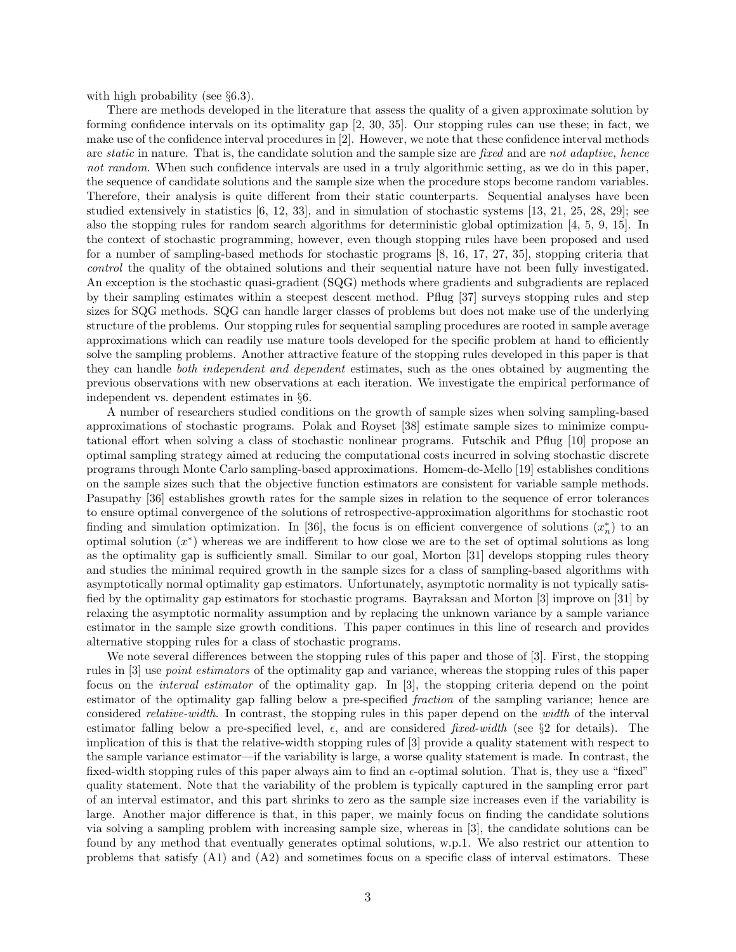with high probability (see *§*6.3).

There are methods developed in the literature that assess the quality of a given approximate solution by forming confidence intervals on its optimality gap [2, 30, 35]. Our stopping rules can use these; in fact, we make use of the confidence interval procedures in [2]. However, we note that these confidence interval methods are *static* in nature. That is, the candidate solution and the sample size are *fixed* and are *not adaptive, hence not random*. When such confidence intervals are used in a truly algorithmic setting, as we do in this paper, the sequence of candidate solutions and the sample size when the procedure stops become random variables. Therefore, their analysis is quite different from their static counterparts. Sequential analyses have been studied extensively in statistics [6, 12, 33], and in simulation of stochastic systems [13, 21, 25, 28, 29]; see also the stopping rules for random search algorithms for deterministic global optimization [4, 5, 9, 15]. In the context of stochastic programming, however, even though stopping rules have been proposed and used for a number of sampling-based methods for stochastic programs [8, 16, 17, 27, 35], stopping criteria that *control* the quality of the obtained solutions and their sequential nature have not been fully investigated. An exception is the stochastic quasi-gradient (SQG) methods where gradients and subgradients are replaced by their sampling estimates within a steepest descent method. Pflug [37] surveys stopping rules and step sizes for SQG methods. SQG can handle larger classes of problems but does not make use of the underlying structure of the problems. Our stopping rules for sequential sampling procedures are rooted in sample average approximations which can readily use mature tools developed for the specific problem at hand to efficiently solve the sampling problems. Another attractive feature of the stopping rules developed in this paper is that they can handle *both independent and dependent* estimates, such as the ones obtained by augmenting the previous observations with new observations at each iteration. We investigate the empirical performance of independent vs. dependent estimates in *§*6.

A number of researchers studied conditions on the growth of sample sizes when solving sampling-based approximations of stochastic programs. Polak and Royset [38] estimate sample sizes to minimize computational effort when solving a class of stochastic nonlinear programs. Futschik and Pflug [10] propose an optimal sampling strategy aimed at reducing the computational costs incurred in solving stochastic discrete programs through Monte Carlo sampling-based approximations. Homem-de-Mello [19] establishes conditions on the sample sizes such that the objective function estimators are consistent for variable sample methods. Pasupathy [36] establishes growth rates for the sample sizes in relation to the sequence of error tolerances to ensure optimal convergence of the solutions of retrospective-approximation algorithms for stochastic root finding and simulation optimization. In [36], the focus is on efficient convergence of solutions  $(x<sub>n</sub><sup>*</sup>)$  to an optimal solution (*x ∗* ) whereas we are indifferent to how close we are to the set of optimal solutions as long as the optimality gap is sufficiently small. Similar to our goal, Morton [31] develops stopping rules theory and studies the minimal required growth in the sample sizes for a class of sampling-based algorithms with asymptotically normal optimality gap estimators. Unfortunately, asymptotic normality is not typically satisfied by the optimality gap estimators for stochastic programs. Bayraksan and Morton [3] improve on [31] by relaxing the asymptotic normality assumption and by replacing the unknown variance by a sample variance estimator in the sample size growth conditions. This paper continues in this line of research and provides alternative stopping rules for a class of stochastic programs.

We note several differences between the stopping rules of this paper and those of [3]. First, the stopping rules in [3] use *point estimators* of the optimality gap and variance, whereas the stopping rules of this paper focus on the *interval estimator* of the optimality gap. In [3], the stopping criteria depend on the point estimator of the optimality gap falling below a pre-specified *fraction* of the sampling variance; hence are considered *relative-width*. In contrast, the stopping rules in this paper depend on the *width* of the interval estimator falling below a pre-specified level, *ϵ*, and are considered *fixed-width* (see *§*2 for details). The implication of this is that the relative-width stopping rules of [3] provide a quality statement with respect to the sample variance estimator—if the variability is large, a worse quality statement is made. In contrast, the fixed-width stopping rules of this paper always aim to find an *ϵ*-optimal solution. That is, they use a "fixed" quality statement. Note that the variability of the problem is typically captured in the sampling error part of an interval estimator, and this part shrinks to zero as the sample size increases even if the variability is large. Another major difference is that, in this paper, we mainly focus on finding the candidate solutions via solving a sampling problem with increasing sample size, whereas in [3], the candidate solutions can be found by any method that eventually generates optimal solutions, w.p.1. We also restrict our attention to problems that satisfy (A1) and (A2) and sometimes focus on a specific class of interval estimators. These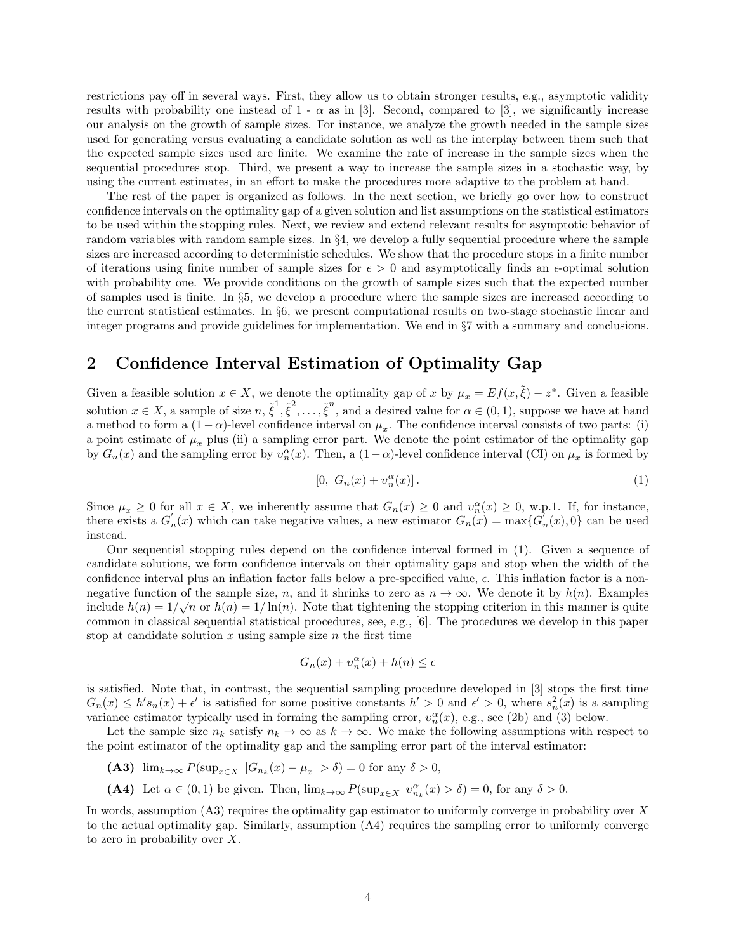restrictions pay off in several ways. First, they allow us to obtain stronger results, e.g., asymptotic validity results with probability one instead of  $1 - \alpha$  as in [3]. Second, compared to [3], we significantly increase our analysis on the growth of sample sizes. For instance, we analyze the growth needed in the sample sizes used for generating versus evaluating a candidate solution as well as the interplay between them such that the expected sample sizes used are finite. We examine the rate of increase in the sample sizes when the sequential procedures stop. Third, we present a way to increase the sample sizes in a stochastic way, by using the current estimates, in an effort to make the procedures more adaptive to the problem at hand.

The rest of the paper is organized as follows. In the next section, we briefly go over how to construct confidence intervals on the optimality gap of a given solution and list assumptions on the statistical estimators to be used within the stopping rules. Next, we review and extend relevant results for asymptotic behavior of random variables with random sample sizes. In *§*4, we develop a fully sequential procedure where the sample sizes are increased according to deterministic schedules. We show that the procedure stops in a finite number of iterations using finite number of sample sizes for  $\epsilon > 0$  and asymptotically finds an  $\epsilon$ -optimal solution with probability one. We provide conditions on the growth of sample sizes such that the expected number of samples used is finite. In *§*5, we develop a procedure where the sample sizes are increased according to the current statistical estimates. In *§*6, we present computational results on two-stage stochastic linear and integer programs and provide guidelines for implementation. We end in *§*7 with a summary and conclusions.

## **2 Confidence Interval Estimation of Optimality Gap**

Given a feasible solution  $x \in X$ , we denote the optimality gap of *x* by  $\mu_x = E f(x, \tilde{\xi}) - z^*$ . Given a feasible solution  $x \in X$ , a sample of size  $n, \tilde{\xi}^1, \tilde{\xi}^2, \ldots, \tilde{\xi}^n$ , and a desired value for  $\alpha \in (0,1)$ , suppose we have at hand a method to form a  $(1 - \alpha)$ -level confidence interval on  $\mu_x$ . The confidence interval consists of two parts: (i) a point estimate of  $\mu_x$  plus (ii) a sampling error part. We denote the point estimator of the optimality gap by  $G_n(x)$  and the sampling error by  $v_n^{\alpha}(x)$ . Then, a  $(1-\alpha)$ -level confidence interval (CI) on  $\mu_x$  is formed by

$$
[0, G_n(x) + v_n^{\alpha}(x)]. \tag{1}
$$

Since  $\mu_x \geq 0$  for all  $x \in X$ , we inherently assume that  $G_n(x) \geq 0$  and  $v_n^{\alpha}(x) \geq 0$ , w.p.1. If, for instance, there exists a  $G'_{n}(x)$  which can take negative values, a new estimator  $G_{n}(x) = \max\{G'_{n}(x), 0\}$  can be used instead.

Our sequential stopping rules depend on the confidence interval formed in (1). Given a sequence of candidate solutions, we form confidence intervals on their optimality gaps and stop when the width of the confidence interval plus an inflation factor falls below a pre-specified value, *ϵ*. This inflation factor is a nonnegative function of the sample size, *n*, and it shrinks to zero as  $n \to \infty$ . We denote it by  $h(n)$ . Examples include  $h(n) = 1/\sqrt{n}$  or  $h(n) = 1/\ln(n)$ . Note that tightening the stopping criterion in this manner is quite common in classical sequential statistical procedures, see, e.g., [6]. The procedures we develop in this paper stop at candidate solution *x* using sample size *n* the first time

$$
G_n(x) + v_n^{\alpha}(x) + h(n) \le \epsilon
$$

is satisfied. Note that, in contrast, the sequential sampling procedure developed in [3] stops the first time  $G_n(x) \le h's_n(x) + \epsilon'$  is satisfied for some positive constants  $h' > 0$  and  $\epsilon' > 0$ , where  $s_n^2(x)$  is a sampling variance estimator typically used in forming the sampling error,  $v_n^{\alpha}(x)$ , e.g., see (2b) and (3) below.

Let the sample size  $n_k$  satisfy  $n_k \to \infty$  as  $k \to \infty$ . We make the following assumptions with respect to the point estimator of the optimality gap and the sampling error part of the interval estimator:

- **(A3)**  $\lim_{k \to \infty} P(\sup_{x \in X} |G_{n_k}(x) \mu_x| > \delta) = 0$  for any  $\delta > 0$ ,
- **(A4)** Let  $\alpha \in (0,1)$  be given. Then,  $\lim_{k\to\infty} P(\sup_{x\in X} v_{n_k}^{\alpha}(x) > \delta) = 0$ , for any  $\delta > 0$ .

In words, assumption (A3) requires the optimality gap estimator to uniformly converge in probability over *X* to the actual optimality gap. Similarly, assumption (A4) requires the sampling error to uniformly converge to zero in probability over *X*.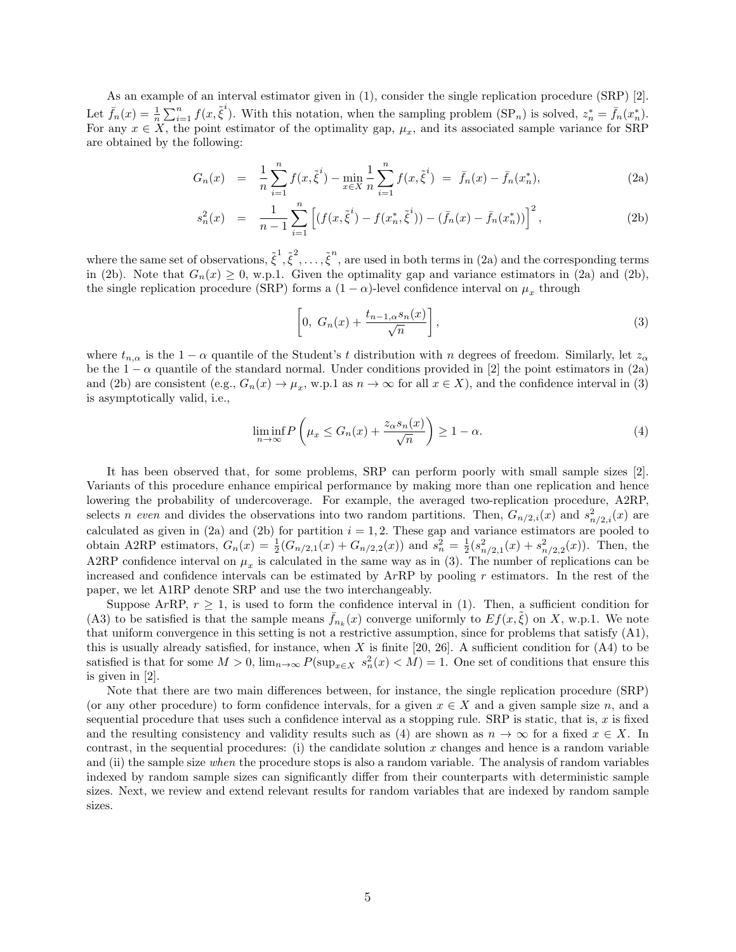As an example of an interval estimator given in (1), consider the single replication procedure (SRP) [2]. Let  $\bar{f}_n(x) = \frac{1}{n} \sum_{i=1}^n f(x, \tilde{\xi}^i)$ . With this notation, when the sampling problem  $(\text{SP}_n)$  is solved,  $z_n^* = \bar{f}_n(x_n^*)$ . For any  $x \in X$ , the point estimator of the optimality gap,  $\mu_x$ , and its associated sample variance for SRP are obtained by the following:

$$
G_n(x) = \frac{1}{n} \sum_{i=1}^n f(x, \tilde{\xi}^i) - \min_{x \in X} \frac{1}{n} \sum_{i=1}^n f(x, \tilde{\xi}^i) = \bar{f}_n(x) - \bar{f}_n(x_n^*), \tag{2a}
$$

$$
s_n^2(x) = \frac{1}{n-1} \sum_{i=1}^n \left[ (f(x, \tilde{\xi}^i) - f(x_n^*, \tilde{\xi}^i)) - (\bar{f}_n(x) - \bar{f}_n(x_n^*)) \right]^2, \tag{2b}
$$

where the same set of observations,  $\tilde{\xi}^1, \tilde{\xi}^2, \ldots, \tilde{\xi}^n$ , are used in both terms in (2a) and the corresponding terms in (2b). Note that  $G_n(x) \geq 0$ , w.p.1. Given the optimality gap and variance estimators in (2a) and (2b), the single replication procedure (SRP) forms a  $(1 - \alpha)$ -level confidence interval on  $\mu_x$  through

$$
\[0, G_n(x) + \frac{t_{n-1,\alpha}s_n(x)}{\sqrt{n}}\],\tag{3}
$$

where  $t_{n,\alpha}$  is the 1 *−*  $\alpha$  quantile of the Student's *t* distribution with *n* degrees of freedom. Similarly, let  $z_{\alpha}$ be the  $1 - \alpha$  quantile of the standard normal. Under conditions provided in [2] the point estimators in (2a) and (2b) are consistent (e.g.,  $G_n(x) \to \mu_x$ , w.p.1 as  $n \to \infty$  for all  $x \in X$ ), and the confidence interval in (3) is asymptotically valid, i.e.,

$$
\liminf_{n \to \infty} P\left(\mu_x \le G_n(x) + \frac{z_\alpha s_n(x)}{\sqrt{n}}\right) \ge 1 - \alpha. \tag{4}
$$

It has been observed that, for some problems, SRP can perform poorly with small sample sizes [2]. Variants of this procedure enhance empirical performance by making more than one replication and hence lowering the probability of undercoverage. For example, the averaged two-replication procedure, A2RP, selects *n even* and divides the observations into two random partitions. Then,  $G_{n/2,i}(x)$  and  $s_{n/2,i}^2(x)$  are calculated as given in (2a) and (2b) for partition  $i = 1, 2$ . These gap and variance estimators are pooled to obtain A2RP estimators,  $G_n(x) = \frac{1}{2}(G_{n/2,1}(x) + G_{n/2,2}(x))$  and  $s_n^2 = \frac{1}{2}(s_{n/2,1}^2(x) + s_{n/2,2}^2(x))$ . Then, the A2RP confidence interval on  $\mu_x$  is calculated in the same way as in (3). The number of replications can be increased and confidence intervals can be estimated by A*r*RP by pooling *r* estimators. In the rest of the paper, we let A1RP denote SRP and use the two interchangeably.

Suppose  $ArRP$ ,  $r \geq 1$ , is used to form the confidence interval in (1). Then, a sufficient condition for (A3) to be satisfied is that the sample means  $\bar{f}_{n_k}(x)$  converge uniformly to  $Ef(x, \tilde{\xi})$  on *X*, w.p.1. We note that uniform convergence in this setting is not a restrictive assumption, since for problems that satisfy (A1), this is usually already satisfied, for instance, when *X* is finite [20, 26]. A sufficient condition for (A4) to be satisfied is that for some  $M > 0$ ,  $\lim_{n \to \infty} P(\sup_{x \in X} s_n^2(x) < M) = 1$ . One set of conditions that ensure this is given in [2].

Note that there are two main differences between, for instance, the single replication procedure (SRP) (or any other procedure) to form confidence intervals, for a given  $x \in X$  and a given sample size *n*, and a sequential procedure that uses such a confidence interval as a stopping rule. SRP is static, that is,  $x$  is fixed and the resulting consistency and validity results such as (4) are shown as  $n \to \infty$  for a fixed  $x \in X$ . In contrast, in the sequential procedures: (i) the candidate solution *x* changes and hence is a random variable and (ii) the sample size *when* the procedure stops is also a random variable. The analysis of random variables indexed by random sample sizes can significantly differ from their counterparts with deterministic sample sizes. Next, we review and extend relevant results for random variables that are indexed by random sample sizes.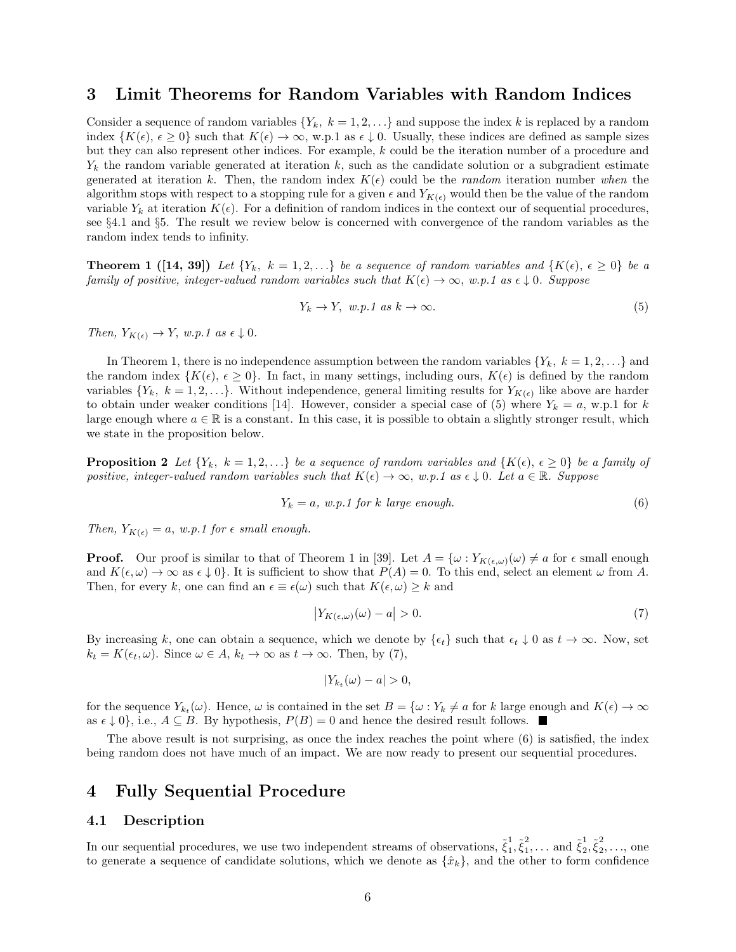## **3 Limit Theorems for Random Variables with Random Indices**

Consider a sequence of random variables  ${Y_k, k = 1, 2, \ldots}$  and suppose the index *k* is replaced by a random index  $\{K(\epsilon), \epsilon \geq 0\}$  such that  $K(\epsilon) \to \infty$ , w.p.1 as  $\epsilon \downarrow 0$ . Usually, these indices are defined as sample sizes but they can also represent other indices. For example, *k* could be the iteration number of a procedure and *Y<sup>k</sup>* the random variable generated at iteration *k*, such as the candidate solution or a subgradient estimate generated at iteration *k*. Then, the random index  $K(\epsilon)$  could be the *random* iteration number *when* the algorithm stops with respect to a stopping rule for a given  $\epsilon$  and  $Y_{K(\epsilon)}$  would then be the value of the random variable  $Y_k$  at iteration  $K(\epsilon)$ . For a definition of random indices in the context our of sequential procedures, see *§*4*.*1 and *§*5. The result we review below is concerned with convergence of the random variables as the random index tends to infinity.

**Theorem 1** ([14, 39]) Let  $\{Y_k, k = 1, 2, \ldots\}$  be a sequence of random variables and  $\{K(\epsilon), \epsilon \geq 0\}$  be a *family of positive, integer-valued random variables such that*  $K(\epsilon) \to \infty$ , *w.p.1 as*  $\epsilon \downarrow 0$ *. Suppose* 

$$
Y_k \to Y, \ w.p.1 \ as \ k \to \infty. \tag{5}
$$

*Then,*  $Y_{K(\epsilon)} \to Y$ *, w.p.1 as*  $\epsilon \downarrow 0$ *.* 

In Theorem 1, there is no independence assumption between the random variables  ${Y_k, k = 1, 2, \ldots}$  and the random index  $\{K(\epsilon), \epsilon \geq 0\}$ . In fact, in many settings, including ours,  $K(\epsilon)$  is defined by the random variables  ${Y_k, k = 1, 2, \ldots}$ . Without independence, general limiting results for  $Y_{K(\epsilon)}$  like above are harder to obtain under weaker conditions [14]. However, consider a special case of (5) where  $Y_k = a$ , w.p.1 for  $k$ large enough where  $a \in \mathbb{R}$  is a constant. In this case, it is possible to obtain a slightly stronger result, which we state in the proposition below.

**Proposition 2** Let  $\{Y_k, k=1,2,...\}$  be a sequence of random variables and  $\{K(\epsilon), \epsilon \geq 0\}$  be a family of *positive, integer-valued random variables such that*  $K(\epsilon) \to \infty$ ,  $w.p.1$  as  $\epsilon \downarrow 0$ . Let  $a \in \mathbb{R}$ . Suppose

$$
Y_k = a, w.p.1 for k large enough.
$$
\n
$$
(6)
$$

*Then,*  $Y_{K(\epsilon)} = a$ ,  $w.p.1$  for  $\epsilon$  *small enough.* 

**Proof.** Our proof is similar to that of Theorem 1 in [39]. Let  $A = \{\omega : Y_{K(\epsilon,\omega)}(\omega) \neq a \text{ for } \epsilon \text{ small enough}\}$ and  $K(\epsilon, \omega) \to \infty$  as  $\epsilon \downarrow 0$ . It is sufficient to show that  $P(A) = 0$ . To this end, select an element  $\omega$  from A. Then, for every *k*, one can find an  $\epsilon \equiv \epsilon(\omega)$  such that  $K(\epsilon, \omega) \geq k$  and

$$
\left| Y_{K(\epsilon,\omega)}(\omega) - a \right| > 0. \tag{7}
$$

By increasing *k*, one can obtain a sequence, which we denote by  $\{\epsilon_t\}$  such that  $\epsilon_t \downarrow 0$  as  $t \to \infty$ . Now, set  $k_t = K(\epsilon_t, \omega)$ . Since  $\omega \in A$ ,  $k_t \to \infty$  as  $t \to \infty$ . Then, by (7),

$$
|Y_{k_t}(\omega) - a| > 0,
$$

for the sequence  $Y_{k_t}(\omega)$ . Hence,  $\omega$  is contained in the set  $B = {\omega : Y_k \neq a$  for *k* large enough and  $K(\epsilon) \to \infty$ as  $\epsilon \downarrow 0$ <sup>}</sup>, i.e., *A* ⊆ *B*. By hypothesis,  $P(B) = 0$  and hence the desired result follows. ■

The above result is not surprising, as once the index reaches the point where (6) is satisfied, the index being random does not have much of an impact. We are now ready to present our sequential procedures.

## **4 Fully Sequential Procedure**

## **4.1 Description**

In our sequential procedures, we use two independent streams of observations,  $\tilde{\xi}_1^1$  $\frac{1}{1}, \tilde{\xi}^{2}_{1}$  $\frac{2}{1}, \ldots$  and  $\tilde{\xi}_2^1$  $\frac{1}{2}, \tilde{\xi}_2^2$  $\frac{2}{2}, \ldots$ , one to generate a sequence of candidate solutions, which we denote as  $\{\hat{x}_k\}$ , and the other to form confidence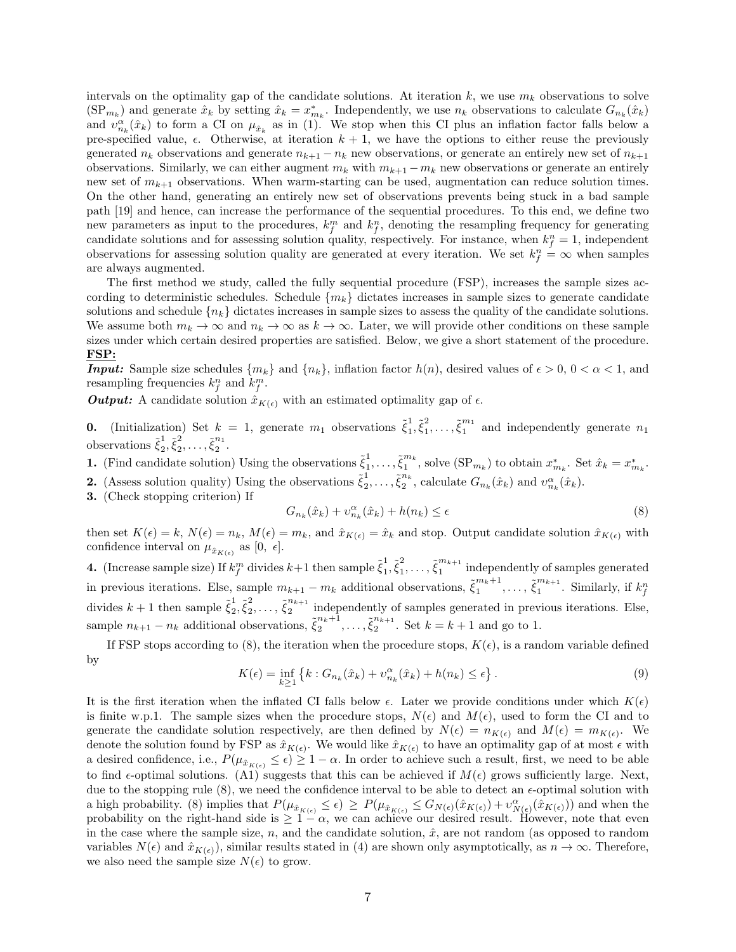intervals on the optimality gap of the candidate solutions. At iteration  $k$ , we use  $m_k$  observations to solve  $(\text{SP}_{m_k})$  and generate  $\hat{x}_k$  by setting  $\hat{x}_k = x^*_{m_k}$ . Independently, we use  $n_k$  observations to calculate  $G_{n_k}(\hat{x}_k)$ and  $v_{n_k}^{\alpha}(\hat{x}_k)$  to form a CI on  $\mu_{\hat{x}_k}$  as in (1). We stop when this CI plus an inflation factor falls below a pre-specified value,  $\epsilon$ . Otherwise, at iteration  $k+1$ , we have the options to either reuse the previously generated  $n_k$  observations and generate  $n_{k+1} - n_k$  new observations, or generate an entirely new set of  $n_{k+1}$ observations. Similarly, we can either augment  $m_k$  with  $m_{k+1} - m_k$  new observations or generate an entirely new set of  $m_{k+1}$  observations. When warm-starting can be used, augmentation can reduce solution times. On the other hand, generating an entirely new set of observations prevents being stuck in a bad sample path [19] and hence, can increase the performance of the sequential procedures. To this end, we define two new parameters as input to the procedures,  $k_f^m$  and  $k_f^n$ , denoting the resampling frequency for generating candidate solutions and for assessing solution quality, respectively. For instance, when  $k_f^n = 1$ , independent observations for assessing solution quality are generated at every iteration. We set  $k_f^n = \infty$  when samples are always augmented.

The first method we study, called the fully sequential procedure (FSP), increases the sample sizes according to deterministic schedules. Schedule  ${m_k}$  dictates increases in sample sizes to generate candidate solutions and schedule  $\{n_k\}$  dictates increases in sample sizes to assess the quality of the candidate solutions. We assume both  $m_k \to \infty$  and  $n_k \to \infty$  as  $k \to \infty$ . Later, we will provide other conditions on these sample sizes under which certain desired properties are satisfied. Below, we give a short statement of the procedure. **FSP:**

*Input:* Sample size schedules  $\{m_k\}$  and  $\{n_k\}$ , inflation factor  $h(n)$ , desired values of  $\epsilon > 0$ ,  $0 < \alpha < 1$ , and resampling frequencies  $k_f^n$  and  $k_f^m$ .

*Output:* A candidate solution  $\hat{x}_{K(\epsilon)}$  with an estimated optimality gap of  $\epsilon$ .

**0.** (Initialization) Set  $k = 1$ , generate  $m_1$  observations  $\tilde{\xi}_1^1$  $\frac{1}{1}, \tilde{\xi}_1^2$  $\tilde{\xi}_1^m$  and independently generate  $n_1$ observations  $\tilde{\xi}_2^1$  $\frac{1}{2}, \tilde{\xi}_2^2$  $2^{2}, \ldots, \tilde{\xi}_{2}^{n_{1}}$  $\frac{1}{2}$ .

**1.** (Find candidate solution) Using the observations  $\tilde{\xi}_1^1$  $\tilde{\xi}_1^m{}^k$  $\int_{1}^{\infty}$ , solve  $(\text{SP}_{m_k})$  to obtain  $x_{m_k}^*$ . Set  $\hat{x}_k = x_{m_k}^*$ . **2.** (Assess solution quality) Using the observations  $\tilde{\xi}_2^1$  $\frac{1}{2}, \ldots, \tilde{\xi}_2^{n_k}$  $v_{n_k}^n$ , calculate  $G_{n_k}(\hat{x}_k)$  and  $v_{n_k}^{\alpha}(\hat{x}_k)$ .

**3.** (Check stopping criterion) If

$$
G_{n_k}(\hat{x}_k) + v_{n_k}^{\alpha}(\hat{x}_k) + h(n_k) \le \epsilon
$$
\n<sup>(8)</sup>

then set  $K(\epsilon) = k$ ,  $N(\epsilon) = n_k$ ,  $M(\epsilon) = m_k$ , and  $\hat{x}_{K(\epsilon)} = \hat{x}_k$  and stop. Output candidate solution  $\hat{x}_{K(\epsilon)}$  with confidence interval on  $\mu_{\hat{x}_{K(\epsilon)}}$  as  $[0, \epsilon]$ .

**4.** (Increase sample size) If  $k_f^m$  divides  $k+1$  then sample  $\tilde{\xi}_1^1$  $\frac{1}{1}, \tilde{\xi}_1^2$  $\frac{2}{1}, \ldots, \tilde{\xi}_1^{m_{k+1}}$  $\frac{m_{k+1}}{1}$  independently of samples generated in previous iterations. Else, sample  $m_{k+1} - m_k$  additional observations,  $\tilde{\xi}_1^{m_k+1}$  $\tilde{\xi}_1^{m_{k+1}}, \ldots, \tilde{\xi}_1^{m_{k+1}}$  $\int_{1}^{m_{k+1}}$ . Similarly, if  $k_f^n$ divides  $k+1$  then sample  $\tilde{\xi}_2^1$  $\frac{1}{2}, \tilde{\xi}_2^2$  $\frac{2}{2}, \ldots, \xi_2^{n_{k+1}}$  $\frac{n_{k+1}}{2}$  independently of samples generated in previous iterations. Else, sample  $n_{k+1} - n_k$  additional observations,  $\tilde{\xi}_2^{n_k+1}$  $\tilde{\xi}_2^{n_{k+1}}, \ldots, \tilde{\xi}_2^{n_{k+1}}$  $2^{n_{k+1}}$ . Set  $k = k + 1$  and go to 1.

If FSP stops according to (8), the iteration when the procedure stops,  $K(\epsilon)$ , is a random variable defined by

$$
K(\epsilon) = \inf_{k \ge 1} \left\{ k : G_{n_k}(\hat{x}_k) + \nu_{n_k}^{\alpha}(\hat{x}_k) + h(n_k) \le \epsilon \right\}.
$$
 (9)

It is the first iteration when the inflated CI falls below  $\epsilon$ . Later we provide conditions under which  $K(\epsilon)$ is finite w.p.1. The sample sizes when the procedure stops,  $N(\epsilon)$  and  $M(\epsilon)$ , used to form the CI and to generate the candidate solution respectively, are then defined by  $N(\epsilon) = n_{K(\epsilon)}$  and  $M(\epsilon) = m_{K(\epsilon)}$ . We denote the solution found by FSP as  $\hat{x}_{K(\epsilon)}$ . We would like  $\hat{x}_{K(\epsilon)}$  to have an optimality gap of at most  $\epsilon$  with a desired confidence, i.e.,  $P(\mu_{\hat{x}_{K(\epsilon)}} \leq \epsilon) \geq 1 - \alpha$ . In order to achieve such a result, first, we need to be able to find  $\epsilon$ -optimal solutions. (A1) suggests that this can be achieved if  $M(\epsilon)$  grows sufficiently large. Next, due to the stopping rule (8), we need the confidence interval to be able to detect an *ϵ*-optimal solution with a high probability. (8) implies that  $P(\mu_{\hat{x}_{K(\epsilon)}} \leq \epsilon) \geq P(\mu_{\hat{x}_{K(\epsilon)}} \leq G_{N(\epsilon)}(\hat{x}_{K(\epsilon)}) + \upsilon_{N(\epsilon)}^{\alpha}(\hat{x}_{K(\epsilon)}))$  and when the probability on the right-hand side is  $\geq 1 - \alpha$ , we can achieve our desired result. However, note that even in the case where the sample size,  $n$ , and the candidate solution,  $\hat{x}$ , are not random (as opposed to random variables  $N(\epsilon)$  and  $\hat{x}_{K(\epsilon)}$ , similar results stated in (4) are shown only asymptotically, as  $n \to \infty$ . Therefore, we also need the sample size  $N(\epsilon)$  to grow.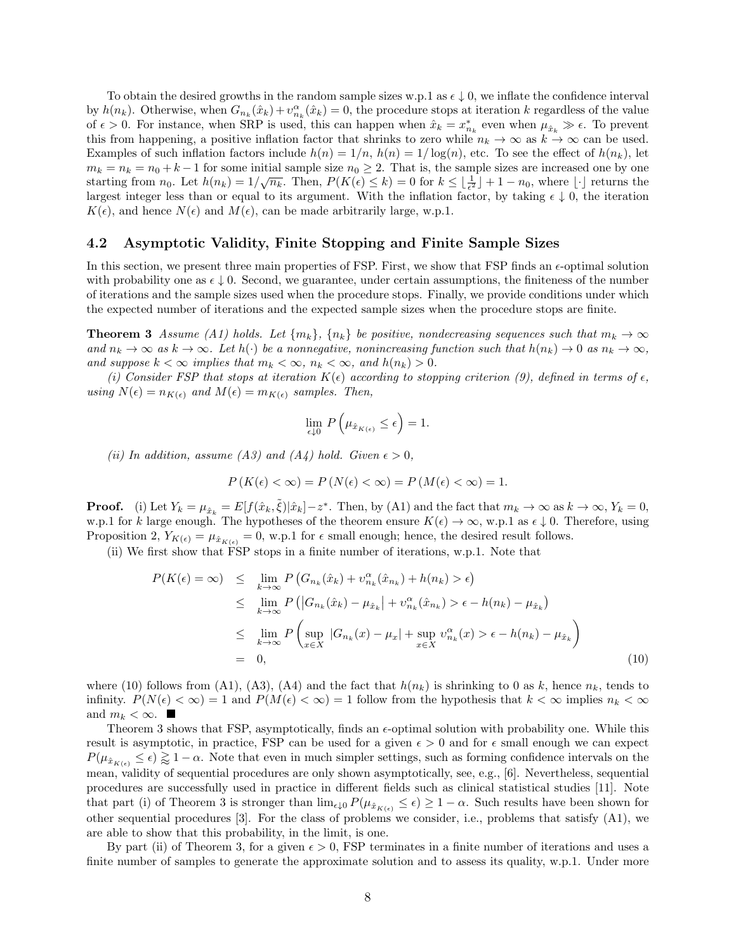To obtain the desired growths in the random sample sizes w.p.1 as *ϵ ↓* 0, we inflate the confidence interval by  $h(n_k)$ . Otherwise, when  $G_{n_k}(\hat{x}_k) + v_{n_k}^{\alpha}(\hat{x}_k) = 0$ , the procedure stops at iteration *k* regardless of the value of  $\epsilon > 0$ . For instance, when SRP is used, this can happen when  $\hat{x}_k = x_{n_k}^*$  even when  $\mu_{\hat{x}_k} \gg \epsilon$ . To prevent this from happening, a positive inflation factor that shrinks to zero while  $n_k \to \infty$  as  $k \to \infty$  can be used. Examples of such inflation factors include  $h(n) = 1/n$ ,  $h(n) = 1/\log(n)$ , etc. To see the effect of  $h(n_k)$ , let  $m_k = n_k = n_0 + k - 1$  for some initial sample size  $n_0 \geq 2$ . That is, the sample sizes are increased one by one starting from  $n_0$ . Let  $h(n_k) = 1/\sqrt{n_k}$ . Then,  $P(K(\epsilon) \le k) = 0$  for  $k \le \lfloor \frac{1}{\epsilon^2} \rfloor + 1 - n_0$ , where  $\lfloor \cdot \rfloor$  returns the largest integer less than or equal to its argument. With the inflation factor, by taking  $\epsilon \downarrow 0$ , the iteration  $K(\epsilon)$ , and hence  $N(\epsilon)$  and  $M(\epsilon)$ , can be made arbitrarily large, w.p.1.

### **4.2 Asymptotic Validity, Finite Stopping and Finite Sample Sizes**

In this section, we present three main properties of FSP. First, we show that FSP finds an  $\epsilon$ -optimal solution with probability one as  $\epsilon \downarrow 0$ . Second, we guarantee, under certain assumptions, the finiteness of the number of iterations and the sample sizes used when the procedure stops. Finally, we provide conditions under which the expected number of iterations and the expected sample sizes when the procedure stops are finite.

**Theorem 3** *Assume* (A1) holds. Let  $\{m_k\}$ ,  $\{n_k\}$  be positive, nondecreasing sequences such that  $m_k \to \infty$ and  $n_k \to \infty$  as  $k \to \infty$ . Let  $h(\cdot)$  be a nonnegative, nonincreasing function such that  $h(n_k) \to 0$  as  $n_k \to \infty$ , *and suppose*  $k < \infty$  *implies that*  $m_k < \infty$ ,  $n_k < \infty$ , and  $h(n_k) > 0$ .

*(i) Consider FSP that stops at iteration*  $K(\epsilon)$  *according to stopping criterion (9), defined in terms of*  $\epsilon$ *,*  $using N(\epsilon) = n_{K(\epsilon)}$  and  $M(\epsilon) = m_{K(\epsilon)}$  samples. Then,

$$
\lim_{\epsilon \downarrow 0} P\left(\mu_{\hat{x}_{K(\epsilon)}} \leq \epsilon\right) = 1.
$$

*(ii)* In addition, assume (A3) and (A4) hold. Given  $\epsilon > 0$ ,

$$
P(K(\epsilon) < \infty) = P(N(\epsilon) < \infty) = P(M(\epsilon) < \infty) = 1.
$$

**Proof.** (i) Let  $Y_k = \mu_{\hat{x}_k} = E[f(\hat{x}_k, \tilde{\xi}) | \hat{x}_k] - z^*$ . Then, by (A1) and the fact that  $m_k \to \infty$  as  $k \to \infty$ ,  $Y_k = 0$ , w.p.1 for *k* large enough. The hypotheses of the theorem ensure  $K(\epsilon) \to \infty$ , w.p.1 as  $\epsilon \downarrow 0$ . Therefore, using Proposition 2,  $Y_{K(\epsilon)} = \mu_{\hat{x}_{K(\epsilon)}} = 0$ , w.p.1 for  $\epsilon$  small enough; hence, the desired result follows.

(ii) We first show that FSP stops in a finite number of iterations, w.p.1. Note that

$$
P(K(\epsilon) = \infty) \leq \lim_{k \to \infty} P\left(G_{n_k}(\hat{x}_k) + v_{n_k}^{\alpha}(\hat{x}_{n_k}) + h(n_k) > \epsilon\right)
$$
  
\n
$$
\leq \lim_{k \to \infty} P\left(|G_{n_k}(\hat{x}_k) - \mu_{\hat{x}_k}| + v_{n_k}^{\alpha}(\hat{x}_{n_k}) > \epsilon - h(n_k) - \mu_{\hat{x}_k}\right)
$$
  
\n
$$
\leq \lim_{k \to \infty} P\left(\sup_{x \in X} |G_{n_k}(x) - \mu_x| + \sup_{x \in X} v_{n_k}^{\alpha}(x) > \epsilon - h(n_k) - \mu_{\hat{x}_k}\right)
$$
  
\n
$$
= 0,
$$
\n(10)

where (10) follows from (A1), (A3), (A4) and the fact that  $h(n_k)$  is shrinking to 0 as  $k$ , hence  $n_k$ , tends to infinity.  $P(N(\epsilon) < \infty) = 1$  and  $P(M(\epsilon) < \infty) = 1$  follow from the hypothesis that  $k < \infty$  implies  $n_k < \infty$ and  $m_k < \infty$ .

Theorem 3 shows that FSP, asymptotically, finds an *ϵ*-optimal solution with probability one. While this result is asymptotic, in practice, FSP can be used for a given  $\epsilon > 0$  and for  $\epsilon$  small enough we can expect  $P(\mu_{\hat{x}_{K(\epsilon)}} \leq \epsilon) \gtrsim 1-\alpha$ . Note that even in much simpler settings, such as forming confidence intervals on the mean, validity of sequential procedures are only shown asymptotically, see, e.g., [6]. Nevertheless, sequential procedures are successfully used in practice in different fields such as clinical statistical studies [11]. Note that part (i) of Theorem 3 is stronger than  $\lim_{\epsilon \downarrow 0} P(\mu_{\hat{x}_{K(\epsilon)}} \leq \epsilon) \geq 1 - \alpha$ . Such results have been shown for other sequential procedures [3]. For the class of problems we consider, i.e., problems that satisfy (A1), we are able to show that this probability, in the limit, is one.

By part (ii) of Theorem 3, for a given  $\epsilon > 0$ , FSP terminates in a finite number of iterations and uses a finite number of samples to generate the approximate solution and to assess its quality, w.p.1. Under more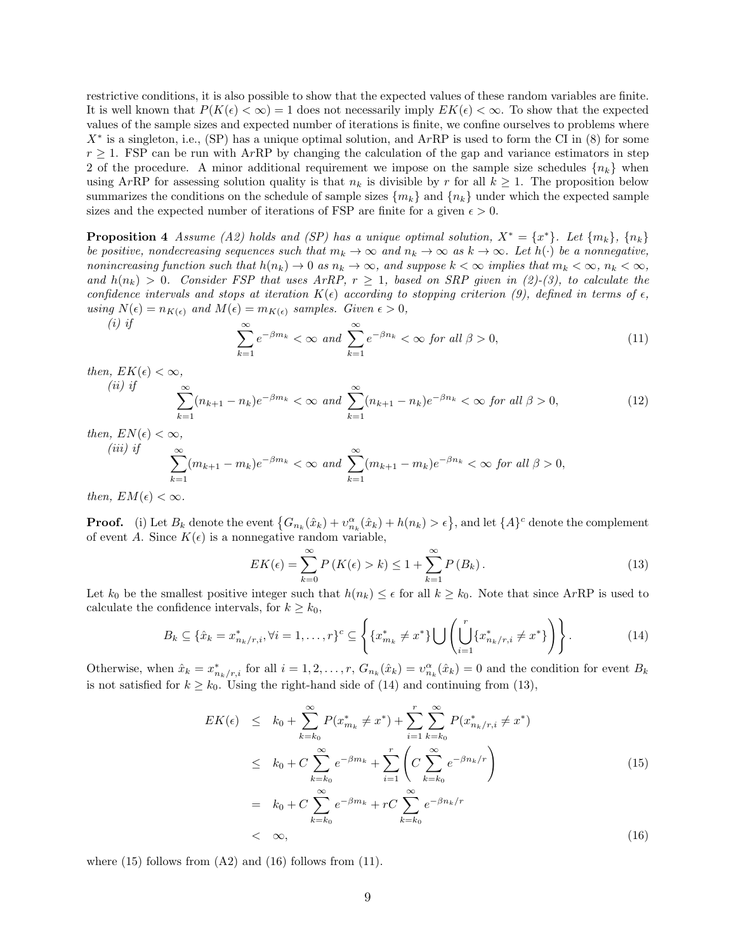restrictive conditions, it is also possible to show that the expected values of these random variables are finite. It is well known that  $P(K(\epsilon) < \infty) = 1$  does not necessarily imply  $EK(\epsilon) < \infty$ . To show that the expected values of the sample sizes and expected number of iterations is finite, we confine ourselves to problems where *X*<sup>∗</sup> is a singleton, i.e., (SP) has a unique optimal solution, and ArRP is used to form the CI in (8) for some  $r \geq 1$ . FSP can be run with A*r*RP by changing the calculation of the gap and variance estimators in step 2 of the procedure. A minor additional requirement we impose on the sample size schedules  $\{n_k\}$  when using ArRP for assessing solution quality is that  $n_k$  is divisible by r for all  $k \geq 1$ . The proposition below summarizes the conditions on the schedule of sample sizes  ${m_k}$  and  ${n_k}$  under which the expected sample sizes and the expected number of iterations of FSP are finite for a given  $\epsilon > 0$ .

**Proposition 4** *Assume* (*A2*) holds and (*SP*) has a unique optimal solution,  $X^* = \{x^*\}$ . Let  $\{m_k\}$ ,  $\{n_k\}$ *be positive, nondecreasing sequences such that*  $m_k \to \infty$  *and*  $n_k \to \infty$  *as*  $k \to \infty$ *. Let*  $h(\cdot)$  *be a nonnegative,* nonincreasing function such that  $h(n_k) \to 0$  as  $n_k \to \infty$ , and suppose  $k < \infty$  implies that  $m_k < \infty$ ,  $n_k < \infty$ , *and*  $h(n_k) > 0$ . Consider FSP that uses ArRP,  $r \geq 1$ , based on SRP given in (2)-(3), to calculate the *confidence intervals and stops at iteration*  $K(\epsilon)$  *according to stopping criterion* (9), defined in terms of  $\epsilon$ , *using*  $N(\epsilon) = n_{K(\epsilon)}$  *and*  $M(\epsilon) = m_{K(\epsilon)}$  *samples. Given*  $\epsilon > 0$ *, (i) if*

$$
\sum_{k=1}^{\infty} e^{-\beta m_k} < \infty \text{ and } \sum_{k=1}^{\infty} e^{-\beta n_k} < \infty \text{ for all } \beta > 0,\tag{11}
$$

*then,*  $EK(\epsilon) < \infty$ *, (ii) if*

$$
\sum_{k=1}^{\infty} (n_{k+1} - n_k)e^{-\beta m_k} < \infty \text{ and } \sum_{k=1}^{\infty} (n_{k+1} - n_k)e^{-\beta n_k} < \infty \text{ for all } \beta > 0,\tag{12}
$$

*then,*  $EN(\epsilon) < \infty$ *,*  $(iii)$ 

$$
\sum_{k=1}^{if} (m_{k+1} - m_k)e^{-\beta m_k} < \infty \text{ and } \sum_{k=1}^{\infty} (m_{k+1} - m_k)e^{-\beta n_k} < \infty \text{ for all } \beta > 0,
$$

*then,*  $EM(\epsilon) < \infty$ *.* 

**Proof.** (i) Let  $B_k$  denote the event  $\{G_{n_k}(\hat{x}_k) + v_{n_k}^{\alpha}(\hat{x}_k) + h(n_k) > \epsilon\}$ , and let  $\{A\}^c$  denote the complement of event *A*. Since  $K(\epsilon)$  is a nonnegative random variable,

$$
EK(\epsilon) = \sum_{k=0}^{\infty} P\left(K(\epsilon) > k\right) \le 1 + \sum_{k=1}^{\infty} P\left(B_k\right). \tag{13}
$$

Let  $k_0$  be the smallest positive integer such that  $h(n_k) \leq \epsilon$  for all  $k \geq k_0$ . Note that since ArRP is used to calculate the confidence intervals, for  $k \geq k_0$ ,

$$
B_k \subseteq \{\hat{x}_k = x_{n_k/r,i}^*, \forall i = 1, \dots, r\}^c \subseteq \left\{\{x_{m_k}^* \neq x^*\} \bigcup \left(\bigcup_{i=1}^r \{x_{n_k/r,i}^* \neq x^*\}\right)\right\}.
$$
 (14)

Otherwise, when  $\hat{x}_k = x_{n_k/r,i}^*$  for all  $i = 1, 2, ..., r$ ,  $G_{n_k}(\hat{x}_k) = v_{n_k}^{\alpha}(\hat{x}_k) = 0$  and the condition for event  $B_k$ is not satisfied for  $k \geq k_0$ . Using the right-hand side of (14) and continuing from (13),

$$
EK(\epsilon) \leq k_0 + \sum_{k=k_0}^{\infty} P(x_{m_k}^* \neq x^*) + \sum_{i=1}^r \sum_{k=k_0}^{\infty} P(x_{n_k/r,i}^* \neq x^*)
$$
  
\n
$$
\leq k_0 + C \sum_{k=k_0}^{\infty} e^{-\beta m_k} + \sum_{i=1}^r \left( C \sum_{k=k_0}^{\infty} e^{-\beta n_k/r} \right)
$$
  
\n
$$
= k_0 + C \sum_{k=k_0}^{\infty} e^{-\beta m_k} + rC \sum_{k=k_0}^{\infty} e^{-\beta n_k/r}
$$
  
\n
$$
< \infty,
$$
\n(16)

where  $(15)$  follows from  $(A2)$  and  $(16)$  follows from  $(11)$ .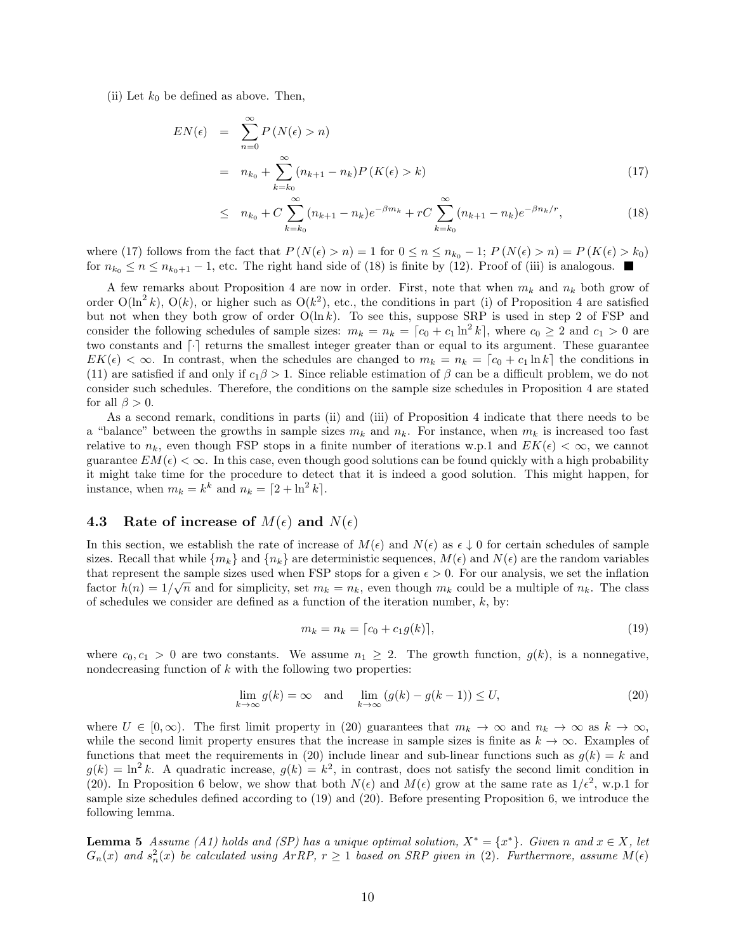(ii) Let  $k_0$  be defined as above. Then,

$$
EN(\epsilon) = \sum_{n=0}^{\infty} P(N(\epsilon) > n)
$$
  
=  $n_{k_0} + \sum_{k=k_0}^{\infty} (n_{k+1} - n_k) P(K(\epsilon) > k)$  (17)

$$
\leq n_{k_0} + C \sum_{k=k_0}^{\infty} (n_{k+1} - n_k) e^{-\beta m_k} + rC \sum_{k=k_0}^{\infty} (n_{k+1} - n_k) e^{-\beta n_k/r}, \tag{18}
$$

where (17) follows from the fact that  $P(N(\epsilon) > n) = 1$  for  $0 \le n \le n_{k_0} - 1$ ;  $P(N(\epsilon) > n) = P(K(\epsilon) > k_0)$ for  $n_{k_0} \le n \le n_{k_0+1} - 1$ , etc. The right hand side of (18) is finite by (12). Proof of (iii) is analogous. ■

A few remarks about Proposition 4 are now in order. First, note that when  $m_k$  and  $n_k$  both grow of order  $O(\ln^2 k)$ ,  $O(k)$ , or higher such as  $O(k^2)$ , etc., the conditions in part (i) of Proposition 4 are satisfied but not when they both grow of order O(ln *k*). To see this, suppose SRP is used in step 2 of FSP and consider the following schedules of sample sizes:  $m_k = n_k = [c_0 + c_1 \ln^2 k]$ , where  $c_0 \geq 2$  and  $c_1 > 0$  are two constants and  $\lceil \cdot \rceil$  returns the smallest integer greater than or equal to its argument. These guarantee  $EK(\epsilon) < \infty$ . In contrast, when the schedules are changed to  $m_k = n_k = [c_0 + c_1 \ln k]$  the conditions in (11) are satisfied if and only if  $c_1\beta > 1$ . Since reliable estimation of  $\beta$  can be a difficult problem, we do not consider such schedules. Therefore, the conditions on the sample size schedules in Proposition 4 are stated for all  $\beta > 0$ .

As a second remark, conditions in parts (ii) and (iii) of Proposition 4 indicate that there needs to be a "balance" between the growths in sample sizes  $m_k$  and  $n_k$ . For instance, when  $m_k$  is increased too fast relative to  $n_k$ , even though FSP stops in a finite number of iterations w.p.1 and  $EK(\epsilon) < \infty$ , we cannot guarantee  $EM(\epsilon) < \infty$ . In this case, even though good solutions can be found quickly with a high probability it might take time for the procedure to detect that it is indeed a good solution. This might happen, for instance, when  $m_k = k^k$  and  $n_k = \left[2 + \ln^2 k\right]$ .

## **4.3** Rate of increase of  $M(\epsilon)$  and  $N(\epsilon)$

In this section, we establish the rate of increase of  $M(\epsilon)$  and  $N(\epsilon)$  as  $\epsilon \downarrow 0$  for certain schedules of sample sizes. Recall that while  ${m_k}$  and  ${n_k}$  are deterministic sequences,  $M(\epsilon)$  and  $N(\epsilon)$  are the random variables that represent the sample sizes used when FSP stops for a given  $\epsilon > 0$ . For our analysis, we set the inflation factor  $h(n) = 1/\sqrt{n}$  and for simplicity, set  $m_k = n_k$ , even though  $m_k$  could be a multiple of  $n_k$ . The class of schedules we consider are defined as a function of the iteration number, *k*, by:

$$
m_k = n_k = [c_0 + c_1 g(k)], \t\t(19)
$$

where  $c_0, c_1 > 0$  are two constants. We assume  $n_1 \geq 2$ . The growth function,  $g(k)$ , is a nonnegative, nondecreasing function of  $k$  with the following two properties:

$$
\lim_{k \to \infty} g(k) = \infty \quad \text{and} \quad \lim_{k \to \infty} (g(k) - g(k-1)) \le U,
$$
\n(20)

where  $U \in [0, \infty)$ . The first limit property in (20) guarantees that  $m_k \to \infty$  and  $n_k \to \infty$  as  $k \to \infty$ , while the second limit property ensures that the increase in sample sizes is finite as  $k \to \infty$ . Examples of functions that meet the requirements in (20) include linear and sub-linear functions such as  $q(k) = k$  and  $g(k) = \ln^2 k$ . A quadratic increase,  $g(k) = k^2$ , in contrast, does not satisfy the second limit condition in (20). In Proposition 6 below, we show that both  $N(\epsilon)$  and  $M(\epsilon)$  grow at the same rate as  $1/\epsilon^2$ , w.p.1 for sample size schedules defined according to (19) and (20). Before presenting Proposition 6, we introduce the following lemma.

**Lemma 5** *Assume* (A1) holds and (SP) has a unique optimal solution,  $X^* = \{x^*\}$ . Given n and  $x \in X$ , let  $G_n(x)$  and  $s_n^2(x)$  be calculated using  $ArRP$ ,  $r \geq 1$  based on SRP given in (2). Furthermore, assume  $M(\epsilon)$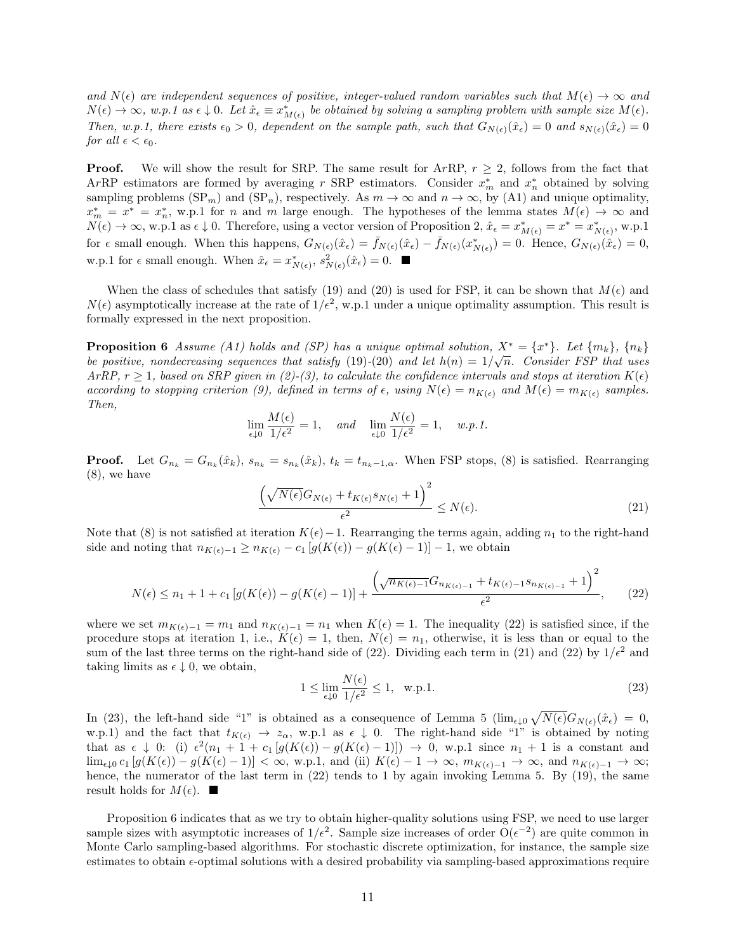*and*  $N(\epsilon)$  are independent sequences of positive, integer-valued random variables such that  $M(\epsilon) \to \infty$  and  $N(\epsilon) \to \infty$ , w.p.1 as  $\epsilon \downarrow 0$ . Let  $\hat{x}_{\epsilon} \equiv x_{M(\epsilon)}^*$  be obtained by solving a sampling problem with sample size  $M(\epsilon)$ . *Then, w.p.1, there exists*  $\epsilon_0 > 0$ , dependent on the sample path, such that  $G_{N(\epsilon)}(\hat{x}_{\epsilon}) = 0$  and  $s_{N(\epsilon)}(\hat{x}_{\epsilon}) = 0$ *for all*  $\epsilon < \epsilon_0$ *.* 

**Proof.** We will show the result for SRP. The same result for ArRP,  $r \geq 2$ , follows from the fact that A*r*RP estimators are formed by averaging *r* SRP estimators. Consider *x ∗ <sup>m</sup>* and *x ∗ <sup>n</sup>* obtained by solving sampling problems  $(SP_m)$  and  $(SP_n)$ , respectively. As  $m \to \infty$  and  $n \to \infty$ , by (A1) and unique optimality,  $x_m^* = x^* = x_n^*$ , w.p.1 for *n* and *m* large enough. The hypotheses of the lemma states  $M(\epsilon) \to \infty$  and  $N(\epsilon) \to \infty$ , w.p.1 as  $\epsilon \downarrow 0$ . Therefore, using a vector version of Proposition 2,  $\hat{x}_{\epsilon} = x^*_{M(\epsilon)} = x^* = x^*_{N(\epsilon)}$ , w.p.1 for  $\epsilon$  small enough. When this happens,  $G_{N(\epsilon)}(\hat{x}_{\epsilon}) = \bar{f}_{N(\epsilon)}(\hat{x}_{\epsilon}) - \bar{f}_{N(\epsilon)}(x_{N(\epsilon)}^{*}) = 0$ . Hence,  $G_{N(\epsilon)}(\hat{x}_{\epsilon}) = 0$ , w.p.1 for  $\epsilon$  small enough. When  $\hat{x}_{\epsilon} = x^*_{N(\epsilon)}, s^2_{N(\epsilon)}(\hat{x}_{\epsilon}) = 0$ .

When the class of schedules that satisfy (19) and (20) is used for FSP, it can be shown that  $M(\epsilon)$  and  $N(\epsilon)$  asymptotically increase at the rate of  $1/\epsilon^2$ , w.p.1 under a unique optimality assumption. This result is formally expressed in the next proposition.

**Proposition 6** Assume (A1) holds and (SP) has a unique optimal solution,  $X^* = \{x^*\}$ . Let  $\{m_k\}$ ,  $\{n_k\}$ *be positive, nondecreasing sequences that satisfy* (19)–(20) and let  $h(n) = 1/\sqrt{n}$ . Consider FSP that uses *ArRP*,  $r \geq 1$ , based on *SRP* given in (2)-(3), to calculate the confidence intervals and stops at iteration  $K(\epsilon)$ *according to stopping criterion (9), defined in terms of*  $\epsilon$ , using  $N(\epsilon) = n_{K(\epsilon)}$  and  $M(\epsilon) = m_{K(\epsilon)}$  samples. *Then,*

$$
\lim_{\epsilon \downarrow 0} \frac{M(\epsilon)}{1/\epsilon^2} = 1, \quad \text{and} \quad \lim_{\epsilon \downarrow 0} \frac{N(\epsilon)}{1/\epsilon^2} = 1, \quad w.p.1.
$$

**Proof.** Let  $G_{n_k} = G_{n_k}(\hat{x}_k)$ ,  $s_{n_k} = s_{n_k}(\hat{x}_k)$ ,  $t_k = t_{n_k-1,\alpha}$ . When FSP stops, (8) is satisfied. Rearranging (8), we have

$$
\frac{\left(\sqrt{N(\epsilon)}G_{N(\epsilon)} + t_{K(\epsilon)}s_{N(\epsilon)} + 1\right)^2}{\epsilon^2} \le N(\epsilon). \tag{21}
$$

Note that (8) is not satisfied at iteration  $K(\epsilon)$  – 1. Rearranging the terms again, adding  $n_1$  to the right-hand side and noting that  $n_{K(\epsilon)-1} \geq n_{K(\epsilon)} - c_1 [g(K(\epsilon)) - g(K(\epsilon) - 1)] - 1$ , we obtain

$$
N(\epsilon) \le n_1 + 1 + c_1 \left[ g(K(\epsilon)) - g(K(\epsilon) - 1) \right] + \frac{\left( \sqrt{n_{K(\epsilon) - 1}} G_{n_{K(\epsilon) - 1}} + t_{K(\epsilon) - 1} s_{n_{K(\epsilon) - 1}} + 1 \right)^2}{\epsilon^2},
$$
(22)

where we set  $m_{K(\epsilon)-1} = m_1$  and  $n_{K(\epsilon)-1} = n_1$  when  $K(\epsilon) = 1$ . The inequality (22) is satisfied since, if the procedure stops at iteration 1, i.e.,  $K(\epsilon) = 1$ , then,  $N(\epsilon) = n_1$ , otherwise, it is less than or equal to the sum of the last three terms on the right-hand side of (22). Dividing each term in (21) and (22) by  $1/\epsilon^2$  and taking limits as  $\epsilon \downarrow 0$ , we obtain,

$$
1 \le \lim_{\epsilon \downarrow 0} \frac{N(\epsilon)}{1/\epsilon^2} \le 1, \quad \text{w.p.1.}
$$
\n
$$
(23)
$$

In (23), the left-hand side "1" is obtained as a consequence of Lemma 5 ( $\lim_{\epsilon \downarrow 0} \sqrt{N(\epsilon)} G_{N(\epsilon)}(\hat{x}_{\epsilon}) = 0$ , w.p.1) and the fact that  $t_{K(\epsilon)} \to z_\alpha$ , w.p.1 as  $\epsilon \downarrow 0$ . The right-hand side "1" is obtained by noting that as  $\epsilon \downarrow 0$ : (i)  $\epsilon^2(n_1 + 1 + c_1 [g(K(\epsilon)) - g(K(\epsilon) - 1)]) \rightarrow 0$ , w.p.1 since  $n_1 + 1$  is a constant and  $\lim_{\epsilon \downarrow 0} c_1 [g(K(\epsilon)) - g(K(\epsilon) - 1)] < \infty$ , w.p.1, and (ii)  $K(\epsilon) - 1 \to \infty$ ,  $m_{K(\epsilon) - 1} \to \infty$ , and  $n_{K(\epsilon) - 1} \to \infty$ ; hence, the numerator of the last term in  $(22)$  tends to 1 by again invoking Lemma 5. By  $(19)$ , the same result holds for  $M(\epsilon)$ .

Proposition 6 indicates that as we try to obtain higher-quality solutions using FSP, we need to use larger sample sizes with asymptotic increases of  $1/\epsilon^2$ . Sample size increases of order  $O(\epsilon^{-2})$  are quite common in Monte Carlo sampling-based algorithms. For stochastic discrete optimization, for instance, the sample size estimates to obtain *ϵ*-optimal solutions with a desired probability via sampling-based approximations require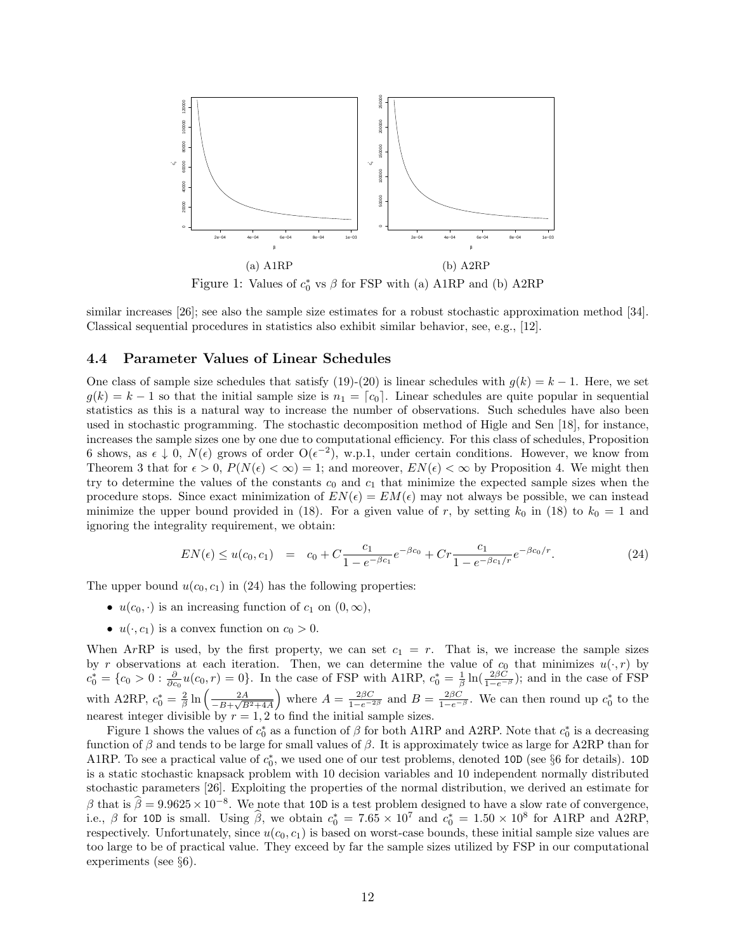

Figure 1: Values of  $c_0^*$  vs  $\beta$  for FSP with (a) A1RP and (b) A2RP

similar increases [26]; see also the sample size estimates for a robust stochastic approximation method [34]. Classical sequential procedures in statistics also exhibit similar behavior, see, e.g., [12].

### **4.4 Parameter Values of Linear Schedules**

One class of sample size schedules that satisfy (19)-(20) is linear schedules with  $g(k) = k - 1$ . Here, we set  $g(k) = k - 1$  so that the initial sample size is  $n_1 = [c_0]$ . Linear schedules are quite popular in sequential statistics as this is a natural way to increase the number of observations. Such schedules have also been used in stochastic programming. The stochastic decomposition method of Higle and Sen [18], for instance, increases the sample sizes one by one due to computational efficiency. For this class of schedules, Proposition 6 shows, as  $\epsilon \downarrow 0$ ,  $N(\epsilon)$  grows of order  $O(\epsilon^{-2})$ , w.p.1, under certain conditions. However, we know from Theorem 3 that for  $\epsilon > 0$ ,  $P(N(\epsilon) < \infty) = 1$ ; and moreover,  $EN(\epsilon) < \infty$  by Proposition 4. We might then try to determine the values of the constants  $c_0$  and  $c_1$  that minimize the expected sample sizes when the procedure stops. Since exact minimization of  $EN(\epsilon) = EM(\epsilon)$  may not always be possible, we can instead minimize the upper bound provided in (18). For a given value of *r*, by setting  $k_0$  in (18) to  $k_0 = 1$  and ignoring the integrality requirement, we obtain:

$$
EN(\epsilon) \le u(c_0, c_1) = c_0 + C \frac{c_1}{1 - e^{-\beta c_1}} e^{-\beta c_0} + C r \frac{c_1}{1 - e^{-\beta c_1/r}} e^{-\beta c_0/r}.
$$
 (24)

The upper bound  $u(c_0, c_1)$  in (24) has the following properties:

- $u(c_0, \cdot)$  is an increasing function of  $c_1$  on  $(0, \infty)$ ,
- $u(\cdot, c_1)$  is a convex function on  $c_0 > 0$ .

When  $ArRP$  is used, by the first property, we can set  $c_1 = r$ . That is, we increase the sample sizes by *r* observations at each iteration. Then, we can determine the value of  $c_0$  that minimizes  $u(\cdot, r)$  by  $c_0^* = \{c_0 > 0 : \frac{\partial}{\partial c_0}u(c_0, r) = 0\}$ . In the case of FSP with A1RP,  $c_0^* = \frac{1}{\beta}\ln(\frac{2\beta C}{1-e^{-\beta}})$ ; and in the case of FSP with A2RP,  $c_0^* = \frac{2}{\beta} \ln \left( \frac{2A}{-B + \sqrt{B}} \right)$ *−B*+ *√ B*2+4*A* ) where  $A = \frac{2\beta C}{1-e^{-2\beta}}$  and  $B = \frac{2\beta C}{1-e^{-\beta}}$ . We can then round up  $c_0^*$  to the nearest integer divisible by  $r = 1, 2$  to find the initial sample sizes.

Figure 1 shows the values of  $c_0^*$  as a function of  $\beta$  for both A1RP and A2RP. Note that  $c_0^*$  is a decreasing function of *β* and tends to be large for small values of *β*. It is approximately twice as large for A2RP than for A1RP. To see a practical value of  $c_0^*$ , we used one of our test problems, denoted 10D (see §6 for details). 10D is a static stochastic knapsack problem with 10 decision variables and 10 independent normally distributed stochastic parameters [26]. Exploiting the properties of the normal distribution, we derived an estimate for  $\beta$  that is  $\hat{\beta} = 9.9625 \times 10^{-8}$ . We note that 10D is a test problem designed to have a slow rate of convergence, i.e.,  $\beta$  for 10D is small. Using  $\hat{\beta}$ , we obtain  $c_0^* = 7.65 \times 10^7$  and  $c_0^* = 1.50 \times 10^8$  for A1RP and A2RP, respectively. Unfortunately, since  $u(c_0, c_1)$  is based on worst-case bounds, these initial sample size values are too large to be of practical value. They exceed by far the sample sizes utilized by FSP in our computational experiments (see *§*6).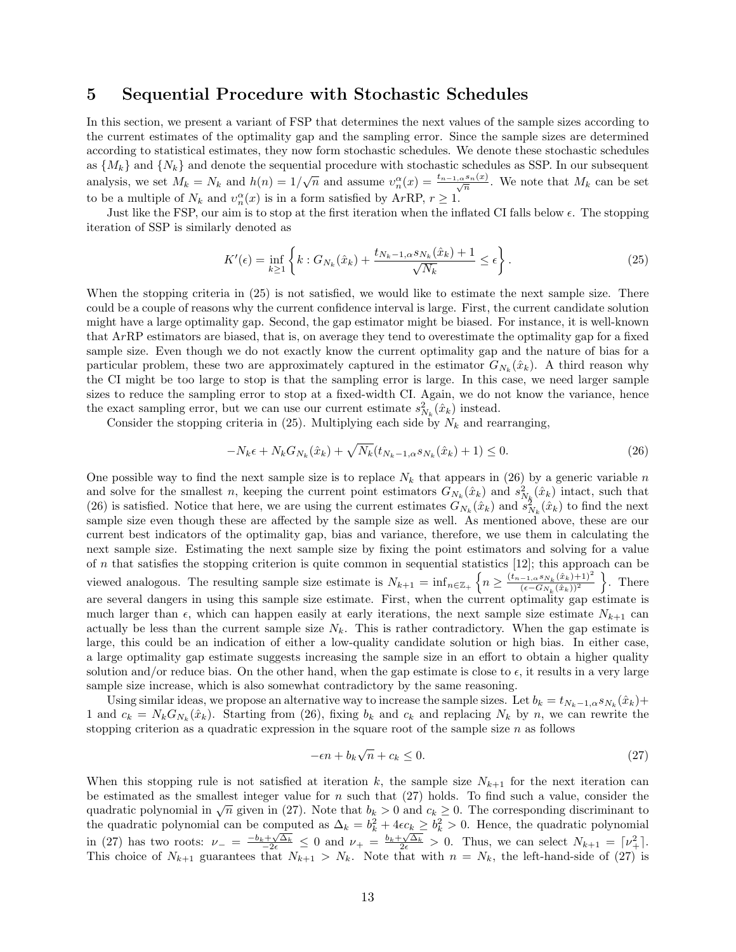## **5 Sequential Procedure with Stochastic Schedules**

In this section, we present a variant of FSP that determines the next values of the sample sizes according to the current estimates of the optimality gap and the sampling error. Since the sample sizes are determined according to statistical estimates, they now form stochastic schedules. We denote these stochastic schedules as  ${M_k}$  and  ${N_k}$  and denote the sequential procedure with stochastic schedules as SSP. In our subsequent analysis, we set  $M_k = N_k$  and  $h(n) = 1/\sqrt{n}$  and assume  $v_n^{\alpha}(x) = \frac{t_{n-1,\alpha}s_n(x)}{\sqrt{n}}$ . We note that  $M_k$  can be set to be a multiple of  $N_k$  and  $v_n^{\alpha}(x)$  is in a form satisfied by ArRP,  $r \geq 1$ .

Just like the FSP, our aim is to stop at the first iteration when the inflated CI falls below *ϵ*. The stopping iteration of SSP is similarly denoted as

$$
K'(\epsilon) = \inf_{k \ge 1} \left\{ k : G_{N_k}(\hat{x}_k) + \frac{t_{N_k - 1, \alpha^S N_k}(\hat{x}_k) + 1}{\sqrt{N_k}} \le \epsilon \right\}.
$$
 (25)

When the stopping criteria in  $(25)$  is not satisfied, we would like to estimate the next sample size. There could be a couple of reasons why the current confidence interval is large. First, the current candidate solution might have a large optimality gap. Second, the gap estimator might be biased. For instance, it is well-known that A*r*RP estimators are biased, that is, on average they tend to overestimate the optimality gap for a fixed sample size. Even though we do not exactly know the current optimality gap and the nature of bias for a particular problem, these two are approximately captured in the estimator  $G_{N_k}(\hat{x}_k)$ . A third reason why the CI might be too large to stop is that the sampling error is large. In this case, we need larger sample sizes to reduce the sampling error to stop at a fixed-width CI. Again, we do not know the variance, hence the exact sampling error, but we can use our current estimate  $s_{N_k}^2(\hat{x}_k)$  instead.

Consider the stopping criteria in  $(25)$ . Multiplying each side by  $N_k$  and rearranging,

$$
-N_k \epsilon + N_k G_{N_k}(\hat{x}_k) + \sqrt{N_k} (t_{N_k - 1, \alpha} s_{N_k}(\hat{x}_k) + 1) \le 0.
$$
 (26)

One possible way to find the next sample size is to replace  $N_k$  that appears in (26) by a generic variable  $n$ and solve for the smallest *n*, keeping the current point estimators  $G_{N_k}(\hat{x}_k)$  and  $s_{N_k}^2(\hat{x}_k)$  intact, such that (26) is satisfied. Notice that here, we are using the current estimates  $G_{N_k}(\hat{x}_k)$  and  $s_{N_k}^2(\hat{x}_k)$  to find the next sample size even though these are affected by the sample size as well. As mentioned above, these are our current best indicators of the optimality gap, bias and variance, therefore, we use them in calculating the next sample size. Estimating the next sample size by fixing the point estimators and solving for a value of *n* that satisfies the stopping criterion is quite common in sequential statistics [12]; this approach can be viewed analogous. The resulting sample size estimate is  $N_{k+1} = \inf_{n \in \mathbb{Z}_+} \left\{ n \geq \frac{(t_{n-1,n} s_{N_k}(\hat{x}_k) + 1)^2}{(\epsilon - G_{N_k}(\hat{x}_k))^2} \right\}$ (*ϵ−GNk* (ˆ*xk*))<sup>2</sup> } . There are several dangers in using this sample size estimate. First, when the current optimality gap estimate is much larger than  $\epsilon$ , which can happen easily at early iterations, the next sample size estimate  $N_{k+1}$  can actually be less than the current sample size  $N_k$ . This is rather contradictory. When the gap estimate is large, this could be an indication of either a low-quality candidate solution or high bias. In either case, a large optimality gap estimate suggests increasing the sample size in an effort to obtain a higher quality solution and/or reduce bias. On the other hand, when the gap estimate is close to  $\epsilon$ , it results in a very large sample size increase, which is also somewhat contradictory by the same reasoning.

Using similar ideas, we propose an alternative way to increase the sample sizes. Let  $b_k = t_{N_k-1,a} s_{N_k}(\hat{x}_k) +$ 1 and  $c_k = N_k G_{N_k}(\hat{x}_k)$ . Starting from (26), fixing  $b_k$  and  $c_k$  and replacing  $N_k$  by  $n$ , we can rewrite the stopping criterion as a quadratic expression in the square root of the sample size *n* as follows

$$
-\epsilon n + b_k \sqrt{n} + c_k \le 0. \tag{27}
$$

When this stopping rule is not satisfied at iteration  $k$ , the sample size  $N_{k+1}$  for the next iteration can be estimated as the smallest integer value for *n* such that (27) holds. To find such a value, consider the quadratic polynomial in  $\sqrt{n}$  given in (27). Note that  $b_k > 0$  and  $c_k \ge 0$ . The corresponding discriminant to the quadratic polynomial can be computed as  $\Delta_k = b_k^2 + 4\epsilon c_k \geq b_k^2 > 0$ . Hence, the quadratic polynomial in (27) has two roots:  $\nu_{-} = \frac{-b_k + \sqrt{\Delta_k}}{2\epsilon} \leq 0$  and  $\nu_{+} = \frac{b_k + \sqrt{\Delta_k}}{2\epsilon} > 0$ . Thus, we can select  $N_{k+1} = [\nu_{+}^2]$ . This choice of  $N_{k+1}$  guarantees that  $N_{k+1} > N_k$ . Note that with  $n = N_k$ , the left-hand-side of (27) is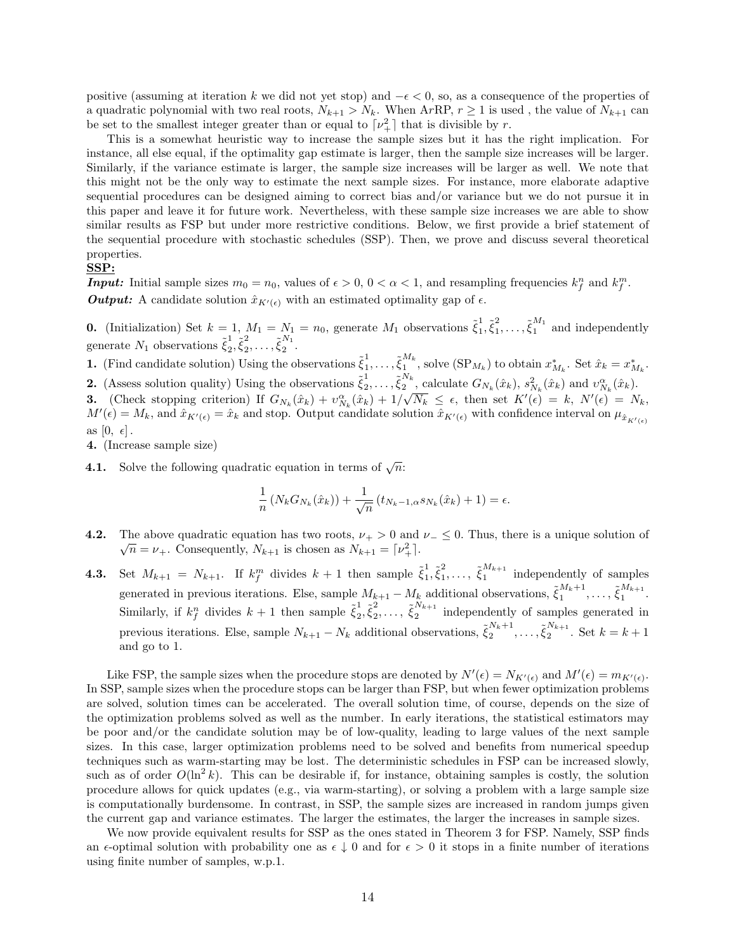positive (assuming at iteration *k* we did not yet stop) and *−ϵ <* 0, so, as a consequence of the properties of a quadratic polynomial with two real roots,  $N_{k+1} > N_k$ . When ArRP,  $r \ge 1$  is used, the value of  $N_{k+1}$  can be set to the smallest integer greater than or equal to  $\lceil \nu_{+}^2 \rceil$  that is divisible by *r*.

This is a somewhat heuristic way to increase the sample sizes but it has the right implication. For instance, all else equal, if the optimality gap estimate is larger, then the sample size increases will be larger. Similarly, if the variance estimate is larger, the sample size increases will be larger as well. We note that this might not be the only way to estimate the next sample sizes. For instance, more elaborate adaptive sequential procedures can be designed aiming to correct bias and/or variance but we do not pursue it in this paper and leave it for future work. Nevertheless, with these sample size increases we are able to show similar results as FSP but under more restrictive conditions. Below, we first provide a brief statement of the sequential procedure with stochastic schedules (SSP). Then, we prove and discuss several theoretical properties.

#### **SSP:**

*Input:* Initial sample sizes  $m_0 = n_0$ , values of  $\epsilon > 0$ ,  $0 < \alpha < 1$ , and resampling frequencies  $k_f^n$  and  $k_f^m$ . *Output:* A candidate solution  $\hat{x}_{K'(\epsilon)}$  with an estimated optimality gap of  $\epsilon$ .

**0.** (Initialization) Set  $k = 1$ ,  $M_1 = N_1 = n_0$ , generate  $M_1$  observations  $\tilde{\xi}_1^1$  $\frac{1}{1}, \tilde{\xi}_1^2$  $\tilde{\xi}_1^M$  and independently generate  $N_1$  observations  $\tilde{\xi}_2^1$  $\frac{1}{2}, \tilde{\xi}_2^2$  $\frac{2}{2}, \ldots, \tilde{\xi}_2^{N_1}$  $\frac{1}{2}$ .

**1.** (Find candidate solution) Using the observations  $\tilde{\xi}_1^1$  $\frac{1}{1}, \ldots, \tilde{\xi}_1^{M_k}$  $\sum_{1}^{n_k}$ , solve  $(\text{SP}_{M_k})$  to obtain  $x_{M_k}^*$ . Set  $\hat{x}_k = x_{M_k}^*$ . **2.** (Assess solution quality) Using the observations  $\tilde{\xi}_2^1$  $\frac{1}{2}, \ldots, \tilde{\xi}_2^{N_k}$  $\frac{N_k}{2}$ , calculate  $G_{N_k}(\hat{x}_k)$ ,  $s_{N_k}^2(\hat{x}_k)$  and  $v_{N_k}^{\alpha}(\hat{x}_k)$ .

**3.** (Check stopping criterion) If  $G_{N_k}(\hat{x}_k) + v_{N_k}^{\alpha}(\hat{x}_k) + 1/\sqrt{N_k} \leq \epsilon$ , then set  $K'(\epsilon) = k$ ,  $N'(\epsilon) = N_k$ ,  $M'(\epsilon) = M_k$ , and  $\hat{x}_{K'(\epsilon)} = \hat{x}_k$  and stop. Output candidate solution  $\hat{x}_{K'(\epsilon)}$  with confidence interval on  $\mu_{\hat{x}_{K'(\epsilon)}}$ as  $[0, \epsilon]$ .

**4.** (Increase sample size)

**4.1.** Solve the following quadratic equation in terms of  $\sqrt{n}$ :

$$
\frac{1}{n}\left(N_kG_{N_k}(\hat{x}_k)\right) + \frac{1}{\sqrt{n}}\left(t_{N_k-1,\alpha} s_{N_k}(\hat{x}_k) + 1\right) = \epsilon.
$$

- **4.2.** The above quadratic equation has two roots,  $\nu_{+} > 0$  and  $\nu_{-} \leq 0$ . Thus, there is a unique solution of  $\overline{n} = \nu_+$ . Consequently,  $N_{k+1}$  is chosen as  $N_{k+1} = \lceil \nu_+^2 \rceil$ .
- **4.3.** Set  $M_{k+1} = N_{k+1}$ . If  $k_f^m$  divides  $k+1$  then sample  $\tilde{\xi}_1^1$  $\frac{1}{1}, \tilde{\xi}_1^2$  $\tilde{\xi}_1^{M_{k+1}}$  $\prod_{1}^{n_{k+1}}$  independently of samples generated in previous iterations. Else, sample  $M_{k+1} - M_k$  additional observations,  $\tilde{\xi}_1^{M_k+1}$  $\frac{M_{k+1}}{1}, \ldots, \tilde{\xi}_{1}^{M_{k+1}}$  $\frac{n \kappa+1}{1}$ . Similarly, if  $k_f^n$  divides  $k+1$  then sample  $\tilde{\xi}_2^1$  $\frac{1}{2}, \tilde{\xi}_2^2$  $\tilde{\xi}_2^{N_{k+1}}$  $i_{2}^{n_{k+1}}$  independently of samples generated in previous iterations. Else, sample  $N_{k+1} - N_k$  additional observations,  $\tilde{\xi}_2^{N_k+1}$  $\frac{N_k+1}{2}, \ldots, \tilde{\xi}_2^{N_{k+1}}$  $2^{k+1}$ . Set  $k = k+1$ and go to 1.

Like FSP, the sample sizes when the procedure stops are denoted by  $N'(\epsilon) = N_{K'(\epsilon)}$  and  $M'(\epsilon) = m_{K'(\epsilon)}$ . In SSP, sample sizes when the procedure stops can be larger than FSP, but when fewer optimization problems are solved, solution times can be accelerated. The overall solution time, of course, depends on the size of the optimization problems solved as well as the number. In early iterations, the statistical estimators may be poor and/or the candidate solution may be of low-quality, leading to large values of the next sample sizes. In this case, larger optimization problems need to be solved and benefits from numerical speedup techniques such as warm-starting may be lost. The deterministic schedules in FSP can be increased slowly, such as of order  $O(\ln^2 k)$ . This can be desirable if, for instance, obtaining samples is costly, the solution procedure allows for quick updates (e.g., via warm-starting), or solving a problem with a large sample size is computationally burdensome. In contrast, in SSP, the sample sizes are increased in random jumps given the current gap and variance estimates. The larger the estimates, the larger the increases in sample sizes.

We now provide equivalent results for SSP as the ones stated in Theorem 3 for FSP. Namely, SSP finds an  $\epsilon$ -optimal solution with probability one as  $\epsilon \downarrow 0$  and for  $\epsilon > 0$  it stops in a finite number of iterations using finite number of samples, w.p.1.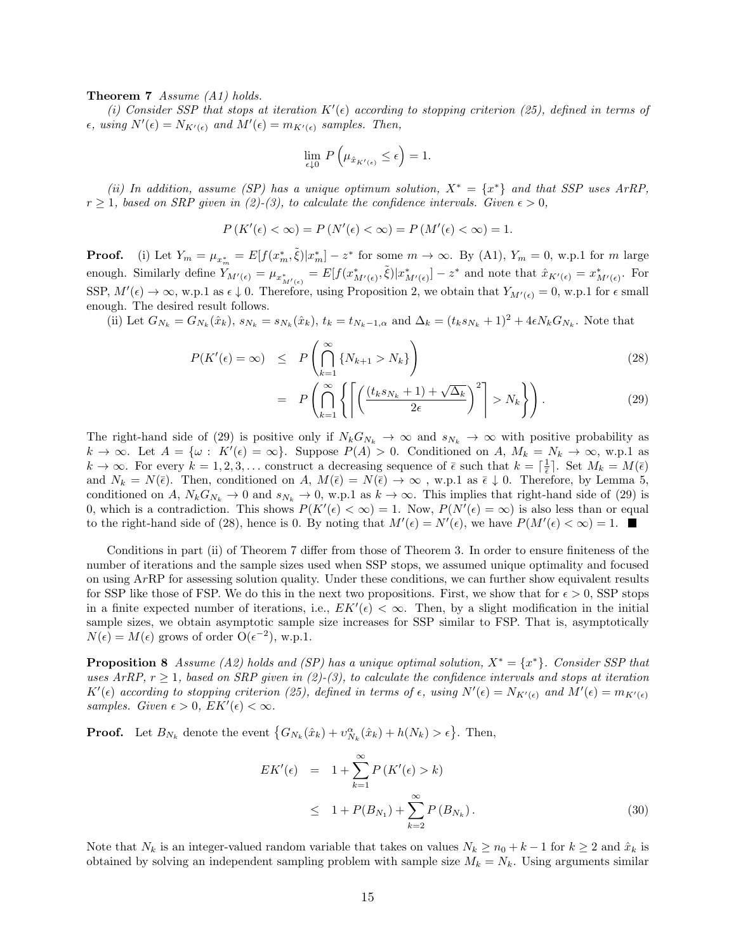**Theorem 7** *Assume (A1) holds.*

(*i*) Consider SSP that stops at iteration  $K'(\epsilon)$  according to stopping criterion (25), defined in terms of  $\epsilon$ *, using*  $N'(\epsilon) = N_{K'(\epsilon)}$  and  $M'(\epsilon) = m_{K'(\epsilon)}$  samples. Then,

$$
\lim_{\epsilon\downarrow 0}\,P\left(\mu_{\hat{x}_{K'(\epsilon)}}\leq \epsilon\right)=1.
$$

*(ii) In addition, assume (SP) has a unique optimum solution,*  $X^* = \{x^*\}$  *and that SSP uses ArRP,*  $r \geq 1$ , based on SRP given in (2)-(3), to calculate the confidence intervals. Given  $\epsilon > 0$ ,

$$
P(K'(\epsilon) < \infty) = P(N'(\epsilon) < \infty) = P(M'(\epsilon) < \infty) = 1.
$$

**Proof.** (i) Let  $Y_m = \mu_{x_m^*} = E[f(x_m^*, \tilde{\xi}) | x_m^*] - z^*$  for some  $m \to \infty$ . By (A1),  $Y_m = 0$ , w.p.1 for m large enough. Similarly define  $Y_{M'(\epsilon)} = \mu_{x_{M'(\epsilon)}^*} = E[f(x_{M'(\epsilon)}^*, \tilde{\xi})|x_{M'(\epsilon)}^*] - z^*$  and note that  $\hat{x}_{K'(\epsilon)} = x_{M'(\epsilon)}^*$ . For SSP,  $M'(\epsilon) \to \infty$ , w.p.1 as  $\epsilon \downarrow 0$ . Therefore, using Proposition 2, we obtain that  $Y_{M'(\epsilon)} = 0$ , w.p.1 for  $\epsilon$  small enough. The desired result follows.

(ii) Let  $G_{N_k} = G_{N_k}(\hat{x}_k)$ ,  $s_{N_k} = s_{N_k}(\hat{x}_k)$ ,  $t_k = t_{N_k-1,\alpha}$  and  $\Delta_k = (t_k s_{N_k} + 1)^2 + 4\epsilon N_k G_{N_k}$ . Note that

$$
P(K'(\epsilon) = \infty) \le P\left(\bigcap_{k=1}^{\infty} \{N_{k+1} > N_k\}\right)
$$
\n
$$
\left(\bigcap_{k=1}^{\infty} \{N_{k+1} > N_k\}\right)
$$
\n
$$
(28)
$$

$$
= P\left(\bigcap_{k=1}^{\infty} \left\{ \left[ \left( \frac{(t_k s_{N_k} + 1) + \sqrt{\Delta_k}}{2\epsilon} \right)^2 \right] > N_k \right\} \right). \tag{29}
$$

The right-hand side of (29) is positive only if  $N_k G_{N_k} \to \infty$  and  $s_{N_k} \to \infty$  with positive probability as  $k \to \infty$ . Let  $A = \{\omega : K'(\epsilon) = \infty\}$ . Suppose  $P(A) > 0$ . Conditioned on  $A, M_k = N_k \to \infty$ , w.p.1 as  $k \to \infty$ . For every  $k = 1, 2, 3, \ldots$  construct a decreasing sequence of  $\bar{\epsilon}$  such that  $k = \lceil \frac{1}{\bar{\epsilon}} \rceil$ . Set  $M_k = M(\bar{\epsilon})$ and  $N_k = N(\bar{\epsilon})$ . Then, conditioned on *A*,  $M(\bar{\epsilon}) = N(\bar{\epsilon}) \to \infty$ , w.p.1 as  $\bar{\epsilon} \downarrow 0$ . Therefore, by Lemma 5, conditioned on *A*,  $N_k G_{N_k} \to 0$  and  $s_{N_k} \to 0$ , w.p.1 as  $k \to \infty$ . This implies that right-hand side of (29) is 0, which is a contradiction. This shows  $P(K'(\epsilon) < \infty) = 1$ . Now,  $P(N'(\epsilon) = \infty)$  is also less than or equal to the right-hand side of (28), hence is 0. By noting that  $M'(\epsilon) = N'(\epsilon)$ , we have  $P(M'(\epsilon) < \infty) = 1$ .

Conditions in part (ii) of Theorem 7 differ from those of Theorem 3. In order to ensure finiteness of the number of iterations and the sample sizes used when SSP stops, we assumed unique optimality and focused on using A*r*RP for assessing solution quality. Under these conditions, we can further show equivalent results for SSP like those of FSP. We do this in the next two propositions. First, we show that for  $\epsilon > 0$ , SSP stops in a finite expected number of iterations, i.e.,  $EK'(\epsilon) < \infty$ . Then, by a slight modification in the initial sample sizes, we obtain asymptotic sample size increases for SSP similar to FSP. That is, asymptotically  $N(\epsilon) = M(\epsilon)$  grows of order  $O(\epsilon^{-2})$ , w.p.1.

**Proposition 8** *Assume* (*A2*) holds and (*SP*) has a unique optimal solution,  $X^* = \{x^*\}$ . Consider SSP that *uses ArRP,*  $r \geq 1$ *, based on SRP given in (2)-(3), to calculate the confidence intervals and stops at iteration*  $K'(\epsilon)$  according to stopping criterion (25), defined in terms of  $\epsilon$ , using  $N'(\epsilon) = N_{K'(\epsilon)}$  and  $M'(\epsilon) = m_{K'(\epsilon)}$ *samples. Given*  $\epsilon > 0$ ,  $EK'(\epsilon) < \infty$ .

**Proof.** Let  $B_{N_k}$  denote the event  $\{G_{N_k}(\hat{x}_k) + v_{N_k}^{\alpha}(\hat{x}_k) + h(N_k) > \epsilon\}$ . Then,

$$
EK'(\epsilon) = 1 + \sum_{k=1}^{\infty} P(K'(\epsilon) > k)
$$
  
\n
$$
\leq 1 + P(B_{N_1}) + \sum_{k=2}^{\infty} P(B_{N_k}).
$$
\n(30)

Note that  $N_k$  is an integer-valued random variable that takes on values  $N_k \ge n_0 + k - 1$  for  $k \ge 2$  and  $\hat{x}_k$  is obtained by solving an independent sampling problem with sample size  $M_k = N_k$ . Using arguments similar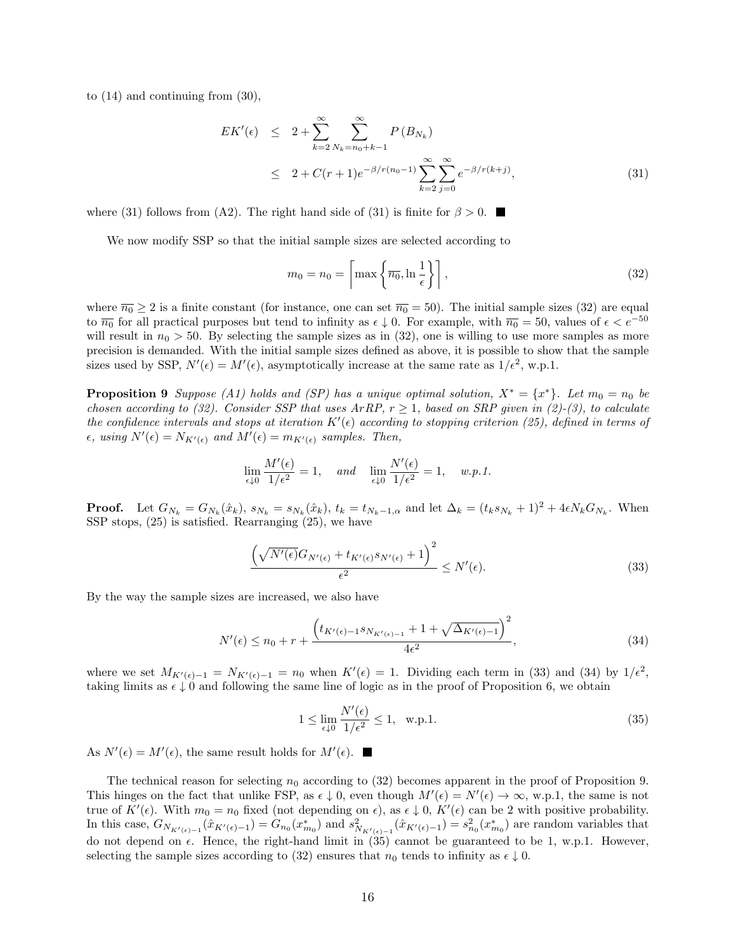to (14) and continuing from (30),

$$
EK'(\epsilon) \leq 2 + \sum_{k=2}^{\infty} \sum_{N_k=n_0+k-1}^{\infty} P(B_{N_k})
$$
  
 
$$
\leq 2 + C(r+1)e^{-\beta/r(n_0-1)} \sum_{k=2}^{\infty} \sum_{j=0}^{\infty} e^{-\beta/r(k+j)},
$$
 (31)

where (31) follows from (A2). The right hand side of (31) is finite for  $\beta > 0$ .

We now modify SSP so that the initial sample sizes are selected according to

$$
m_0 = n_0 = \left\lceil \max\left\{\overline{n_0}, \ln\frac{1}{\epsilon}\right\} \right\rceil,\tag{32}
$$

where  $\overline{n_0} \ge 2$  is a finite constant (for instance, one can set  $\overline{n_0} = 50$ ). The initial sample sizes (32) are equal to  $\overline{n_0}$  for all practical purposes but tend to infinity as  $\epsilon \downarrow 0$ . For example, with  $\overline{n_0} = 50$ , values of  $\epsilon < e^{-50}$ will result in  $n_0 > 50$ . By selecting the sample sizes as in (32), one is willing to use more samples as more precision is demanded. With the initial sample sizes defined as above, it is possible to show that the sample sizes used by SSP,  $N'(\epsilon) = M'(\epsilon)$ , asymptotically increase at the same rate as  $1/\epsilon^2$ , w.p.1.

**Proposition 9** *Suppose* (A1) holds and (SP) has a unique optimal solution,  $X^* = \{x^*\}$ . Let  $m_0 = n_0$  be *chosen according to (32). Consider SSP that uses*  $\text{ArRP}, r \geq 1$ *, based on SRP given in (2)-(3), to calculate the confidence intervals and stops at iteration*  $K'(\epsilon)$  according to stopping criterion (25), defined in terms of  $\epsilon$ *, using*  $N'(\epsilon) = N_{K'(\epsilon)}$  and  $M'(\epsilon) = m_{K'(\epsilon)}$  samples. Then,

$$
\lim_{\epsilon \downarrow 0} \frac{M'(\epsilon)}{1/\epsilon^2} = 1, \quad \text{and} \quad \lim_{\epsilon \downarrow 0} \frac{N'(\epsilon)}{1/\epsilon^2} = 1, \quad w.p.1.
$$

**Proof.** Let  $G_{N_k} = G_{N_k}(\hat{x}_k)$ ,  $s_{N_k} = s_{N_k}(\hat{x}_k)$ ,  $t_k = t_{N_k-1,\alpha}$  and let  $\Delta_k = (t_k s_{N_k} + 1)^2 + 4\epsilon N_k G_{N_k}$ . When SSP stops, (25) is satisfied. Rearranging (25), we have

$$
\frac{\left(\sqrt{N'(\epsilon)}G_{N'(\epsilon)} + t_{K'(\epsilon)}s_{N'(\epsilon)} + 1\right)^2}{\epsilon^2} \le N'(\epsilon). \tag{33}
$$

By the way the sample sizes are increased, we also have

$$
N'(\epsilon) \le n_0 + r + \frac{\left(t_{K'(\epsilon)-1} s_{N_{K'(\epsilon)-1}} + 1 + \sqrt{\Delta_{K'(\epsilon)-1}}\right)^2}{4\epsilon^2},\tag{34}
$$

where we set  $M_{K'(\epsilon)-1} = N_{K'(\epsilon)-1} = n_0$  when  $K'(\epsilon) = 1$ . Dividing each term in (33) and (34) by  $1/\epsilon^2$ , taking limits as  $\epsilon \downarrow 0$  and following the same line of logic as in the proof of Proposition 6, we obtain

$$
1 \le \lim_{\epsilon \downarrow 0} \frac{N'(\epsilon)}{1/\epsilon^2} \le 1, \quad \text{w.p.1.}
$$
\n(35)

As  $N'(\epsilon) = M'(\epsilon)$ , the same result holds for  $M'(\epsilon)$ .

The technical reason for selecting  $n_0$  according to  $(32)$  becomes apparent in the proof of Proposition 9. This hinges on the fact that unlike FSP, as  $\epsilon \downarrow 0$ , even though  $M'(\epsilon) = N'(\epsilon) \to \infty$ , w.p.1, the same is not true of  $K'(\epsilon)$ . With  $m_0 = n_0$  fixed (not depending on  $\epsilon$ ), as  $\epsilon \downarrow 0$ ,  $K'(\epsilon)$  can be 2 with positive probability. In this case,  $G_{N_{K'(\epsilon)-1}}(\hat{x}_{K'(\epsilon)-1}) = G_{n_0}(x_{m_0}^*)$  and  $s_{N_{K'(\epsilon)-1}}^2(\hat{x}_{K'(\epsilon)-1}) = s_{n_0}^2(x_{m_0}^*)$  are random variables that do not depend on  $\epsilon$ . Hence, the right-hand limit in (35) cannot be guaranteed to be 1, w.p.1. However, selecting the sample sizes according to (32) ensures that  $n_0$  tends to infinity as  $\epsilon \downarrow 0$ .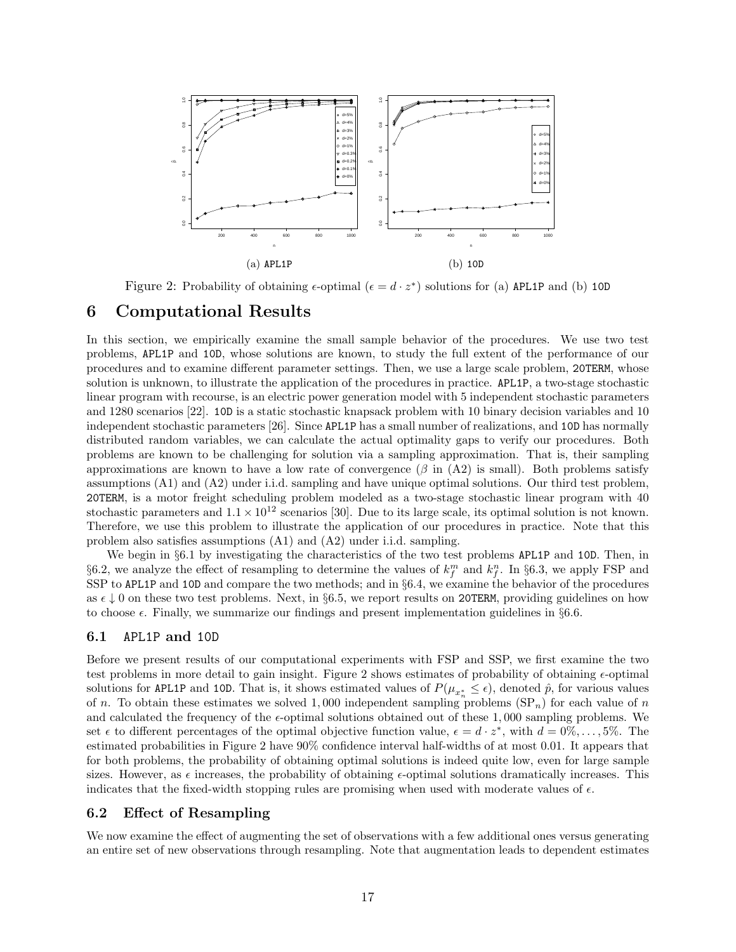

Figure 2: Probability of obtaining  $\epsilon$ -optimal ( $\epsilon = d \cdot z^*$ ) solutions for (a) APL1P and (b) 10D

## **6 Computational Results**

In this section, we empirically examine the small sample behavior of the procedures. We use two test problems, APL1P and 10D, whose solutions are known, to study the full extent of the performance of our procedures and to examine different parameter settings. Then, we use a large scale problem, 20TERM, whose solution is unknown, to illustrate the application of the procedures in practice. APL1P, a two-stage stochastic linear program with recourse, is an electric power generation model with 5 independent stochastic parameters and 1280 scenarios [22]. 10D is a static stochastic knapsack problem with 10 binary decision variables and 10 independent stochastic parameters [26]. Since APL1P has a small number of realizations, and 10D has normally distributed random variables, we can calculate the actual optimality gaps to verify our procedures. Both problems are known to be challenging for solution via a sampling approximation. That is, their sampling approximations are known to have a low rate of convergence  $(\beta$  in  $(A2)$  is small). Both problems satisfy assumptions (A1) and (A2) under i.i.d. sampling and have unique optimal solutions. Our third test problem, 20TERM, is a motor freight scheduling problem modeled as a two-stage stochastic linear program with 40 stochastic parameters and  $1.1 \times 10^{12}$  scenarios [30]. Due to its large scale, its optimal solution is not known. Therefore, we use this problem to illustrate the application of our procedures in practice. Note that this problem also satisfies assumptions (A1) and (A2) under i.i.d. sampling.

We begin in *§*6.1 by investigating the characteristics of the two test problems APL1P and 10D. Then, in §6.2, we analyze the effect of resampling to determine the values of  $k_f^m$  and  $k_f^n$ . In §6.3, we apply FSP and SSP to APL1P and 10D and compare the two methods; and in *§*6.4, we examine the behavior of the procedures as  $\epsilon \downarrow 0$  on these two test problems. Next, in §6.5, we report results on 20TERM, providing guidelines on how to choose  $\epsilon$ . Finally, we summarize our findings and present implementation guidelines in  $\S6.6$ .

### **6.1** APL1P **and** 10D

Before we present results of our computational experiments with FSP and SSP, we first examine the two test problems in more detail to gain insight. Figure 2 shows estimates of probability of obtaining *ϵ*-optimal solutions for APL1P and 10D. That is, it shows estimated values of  $P(\mu_{x_n^*} \leq \epsilon)$ , denoted  $\hat{p}$ , for various values of *n*. To obtain these estimates we solved 1,000 independent sampling problems  $(SP_n)$  for each value of *n* and calculated the frequency of the *ϵ*-optimal solutions obtained out of these 1*,* 000 sampling problems. We set  $\epsilon$  to different percentages of the optimal objective function value,  $\epsilon = d \cdot z^*$ , with  $d = 0\%, \ldots, 5\%$ . The estimated probabilities in Figure 2 have 90% confidence interval half-widths of at most 0*.*01. It appears that for both problems, the probability of obtaining optimal solutions is indeed quite low, even for large sample sizes. However, as  $\epsilon$  increases, the probability of obtaining  $\epsilon$ -optimal solutions dramatically increases. This indicates that the fixed-width stopping rules are promising when used with moderate values of  $\epsilon$ .

## **6.2 Effect of Resampling**

We now examine the effect of augmenting the set of observations with a few additional ones versus generating an entire set of new observations through resampling. Note that augmentation leads to dependent estimates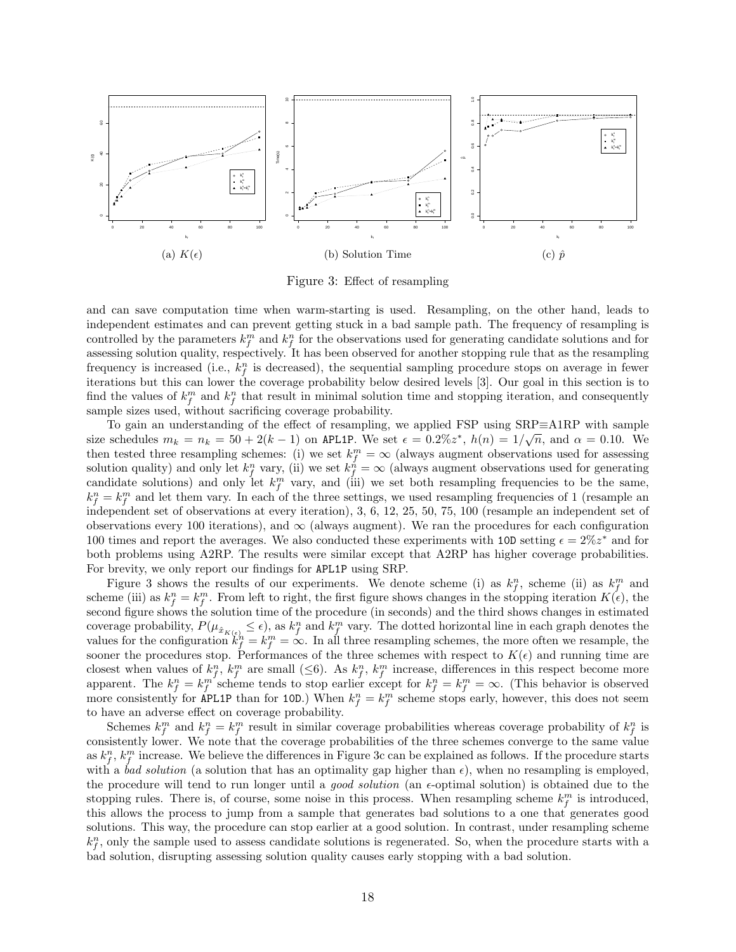

Figure 3: Effect of resampling

and can save computation time when warm-starting is used. Resampling, on the other hand, leads to independent estimates and can prevent getting stuck in a bad sample path. The frequency of resampling is controlled by the parameters  $k_f^m$  and  $k_f^n$  for the observations used for generating candidate solutions and for assessing solution quality, respectively. It has been observed for another stopping rule that as the resampling frequency is increased (i.e.,  $k_f^n$  is decreased), the sequential sampling procedure stops on average in fewer iterations but this can lower the coverage probability below desired levels [3]. Our goal in this section is to find the values of  $k_f^m$  and  $k_f^n$  that result in minimal solution time and stopping iteration, and consequently sample sizes used, without sacrificing coverage probability.

To gain an understanding of the effect of resampling, we applied FSP using SRP*≡*A1RP with sample *√* size schedules  $m_k = n_k = 50 + 2(k-1)$  on APL1P. We set  $\epsilon = 0.2\%z^*, h(n) = 1/\sqrt{n}$ , and  $\alpha = 0.10$ . We then tested three resampling schemes: (i) we set  $k_f^m = \infty$  (always augment observations used for assessing solution quality) and only let  $k_f^n$  vary, (ii) we set  $k_f^n = \infty$  (always augment observations used for generating candidate solutions) and only let  $k_f^m$  vary, and (iii) we set both resampling frequencies to be the same,  $k_f^n = k_f^m$  and let them vary. In each of the three settings, we used resampling frequencies of 1 (resample an independent set of observations at every iteration), 3, 6, 12, 25, 50, 75, 100 (resample an independent set of observations every 100 iterations), and  $\infty$  (always augment). We ran the procedures for each configuration 100 times and report the averages. We also conducted these experiments with 10D setting  $\epsilon = 2\%z^*$  and for both problems using A2RP. The results were similar except that A2RP has higher coverage probabilities. For brevity, we only report our findings for APL1P using SRP.

Figure 3 shows the results of our experiments. We denote scheme (i) as  $k_f^n$ , scheme (ii) as  $k_f^m$  and scheme (iii) as  $k_f^n = k_f^m$ . From left to right, the first figure shows changes in the stopping iteration  $K(\epsilon)$ , the second figure shows the solution time of the procedure (in seconds) and the third shows changes in estimated coverage probability,  $P(\mu_{\hat{x}_{K(\epsilon)}} \leq \epsilon)$ , as  $k_f^n$  and  $k_f^m$  vary. The dotted horizontal line in each graph denotes the values for the configuration  $k_f^n = k_f^m = \infty$ . In all three resampling schemes, the more often we resample, the sooner the procedures stop. Performances of the three schemes with respect to  $K(\epsilon)$  and running time are closest when values of  $k_f^n$ ,  $k_f^m$  are small ( $\leq 6$ ). As  $k_f^n$ ,  $k_f^m$  increase, differences in this respect become more apparent. The  $k_f^n = k_f^m$  scheme tends to stop earlier except for  $k_f^n = k_f^m = \infty$ . (This behavior is observed more consistently for APL1P than for 10D.) When  $k_f^n = k_f^m$  scheme stops early, however, this does not seem to have an adverse effect on coverage probability.

Schemes  $k_f^m$  and  $k_f^n = k_f^m$  result in similar coverage probabilities whereas coverage probability of  $k_f^n$  is consistently lower. We note that the coverage probabilities of the three schemes converge to the same value as  $k_f^n$ ,  $k_f^m$  increase. We believe the differences in Figure 3c can be explained as follows. If the procedure starts with a *bad solution* (a solution that has an optimality gap higher than  $\epsilon$ ), when no resampling is employed, the procedure will tend to run longer until a *good solution* (an *ϵ*-optimal solution) is obtained due to the stopping rules. There is, of course, some noise in this process. When resampling scheme  $k_f^m$  is introduced, this allows the process to jump from a sample that generates bad solutions to a one that generates good solutions. This way, the procedure can stop earlier at a good solution. In contrast, under resampling scheme  $k_f^n$ , only the sample used to assess candidate solutions is regenerated. So, when the procedure starts with a bad solution, disrupting assessing solution quality causes early stopping with a bad solution.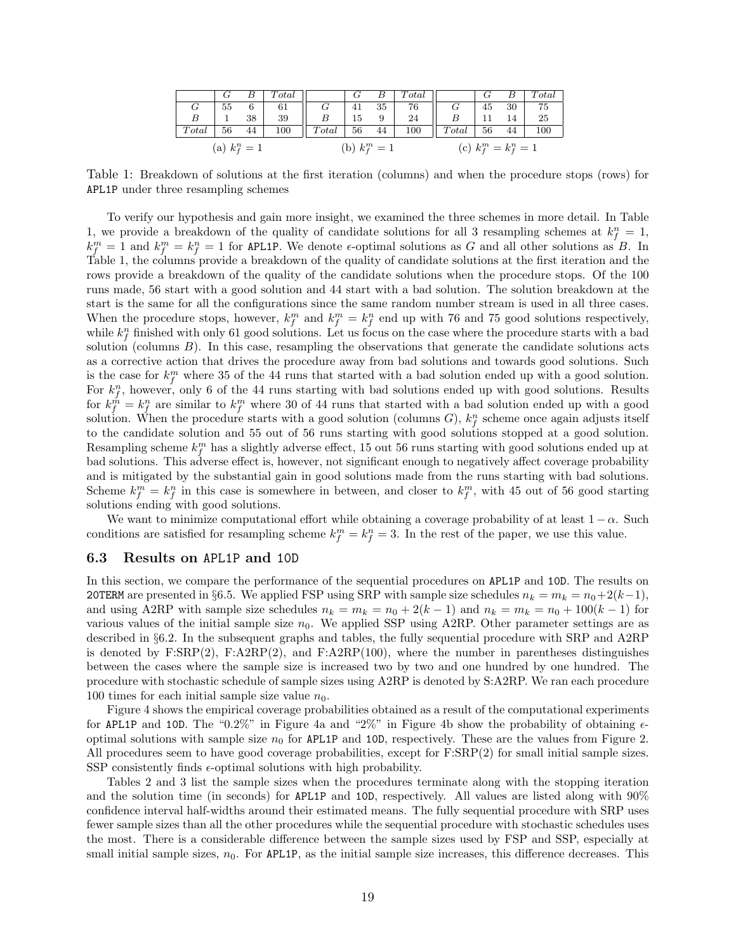|       |                 |    | Total |       |                 | В  | Total |       |                         | В  | Total |
|-------|-----------------|----|-------|-------|-----------------|----|-------|-------|-------------------------|----|-------|
| G     | 55              | 6  | 61    | G     | 41              | 35 | 76    | G     | 45                      | 30 | 75    |
| B     |                 | 38 | 39    |       | 15              | 9  | 24    |       |                         |    | 25    |
| Total | 56              | 44 | 100   | Total | 56              | 44 | 100   | Total | 56                      | 44 | 100   |
|       | (a) $k_f^n = 1$ |    |       |       | (b) $k_f^m = 1$ |    |       |       | (c) $k_f^m = k_f^n = 1$ |    |       |

Table 1: Breakdown of solutions at the first iteration (columns) and when the procedure stops (rows) for APL1P under three resampling schemes

To verify our hypothesis and gain more insight, we examined the three schemes in more detail. In Table 1, we provide a breakdown of the quality of candidate solutions for all 3 resampling schemes at  $k_f^n = 1$ ,  $k_f^m = 1$  and  $k_f^m = k_f^n = 1$  for APL1P. We denote  $\epsilon$ -optimal solutions as *G* and all other solutions as *B*. In Table 1, the columns provide a breakdown of the quality of candidate solutions at the first iteration and the rows provide a breakdown of the quality of the candidate solutions when the procedure stops. Of the 100 runs made, 56 start with a good solution and 44 start with a bad solution. The solution breakdown at the start is the same for all the configurations since the same random number stream is used in all three cases. When the procedure stops, however,  $k_f^m$  and  $k_f^m = k_f^n$  end up with 76 and 75 good solutions respectively, while  $k_f^n$  finished with only 61 good solutions. Let us focus on the case where the procedure starts with a bad solution (columns *B*). In this case, resampling the observations that generate the candidate solutions acts as a corrective action that drives the procedure away from bad solutions and towards good solutions. Such is the case for  $k_f^m$  where 35 of the 44 runs that started with a bad solution ended up with a good solution. For  $k_f^n$ , however, only 6 of the 44 runs starting with bad solutions ended up with good solutions. Results for  $k_f^{\hat{m}} = k_f^n$  are similar to  $k_f^m$  where 30 of 44 runs that started with a bad solution ended up with a good solution. When the procedure starts with a good solution (columns  $G$ ),  $k_f^n$  scheme once again adjusts itself to the candidate solution and 55 out of 56 runs starting with good solutions stopped at a good solution. Resampling scheme  $k_f^m$  has a slightly adverse effect, 15 out 56 runs starting with good solutions ended up at bad solutions. This adverse effect is, however, not significant enough to negatively affect coverage probability and is mitigated by the substantial gain in good solutions made from the runs starting with bad solutions. Scheme  $k_f^m = k_f^n$  in this case is somewhere in between, and closer to  $k_f^m$ , with 45 out of 56 good starting solutions ending with good solutions.

We want to minimize computational effort while obtaining a coverage probability of at least  $1 - \alpha$ . Such conditions are satisfied for resampling scheme  $k_f^m = k_f^n = 3$ . In the rest of the paper, we use this value.

#### **6.3 Results on** APL1P **and** 10D

In this section, we compare the performance of the sequential procedures on APL1P and 10D. The results on 20TERM are presented in §6.5. We applied FSP using SRP with sample size schedules  $n_k = m_k = n_0 + 2(k-1)$ , and using A2RP with sample size schedules  $n_k = m_k = n_0 + 2(k-1)$  and  $n_k = m_k = n_0 + 100(k-1)$  for various values of the initial sample size  $n_0$ . We applied SSP using A2RP. Other parameter settings are as described in *§*6.2. In the subsequent graphs and tables, the fully sequential procedure with SRP and A2RP is denoted by  $F:SRP(2)$ ,  $F:APRP(2)$ , and  $F:APRP(100)$ , where the number in parentheses distinguishes between the cases where the sample size is increased two by two and one hundred by one hundred. The procedure with stochastic schedule of sample sizes using A2RP is denoted by S:A2RP. We ran each procedure 100 times for each initial sample size value  $n_0$ .

Figure 4 shows the empirical coverage probabilities obtained as a result of the computational experiments for APL1P and 10D. The "0.2%" in Figure 4a and "2%" in Figure 4b show the probability of obtaining *ϵ*optimal solutions with sample size  $n_0$  for APL1P and 10D, respectively. These are the values from Figure 2. All procedures seem to have good coverage probabilities, except for F:SRP(2) for small initial sample sizes. SSP consistently finds *ϵ*-optimal solutions with high probability.

Tables 2 and 3 list the sample sizes when the procedures terminate along with the stopping iteration and the solution time (in seconds) for APL1P and 10D, respectively. All values are listed along with 90% confidence interval half-widths around their estimated means. The fully sequential procedure with SRP uses fewer sample sizes than all the other procedures while the sequential procedure with stochastic schedules uses the most. There is a considerable difference between the sample sizes used by FSP and SSP, especially at small initial sample sizes,  $n_0$ . For APL1P, as the initial sample size increases, this difference decreases. This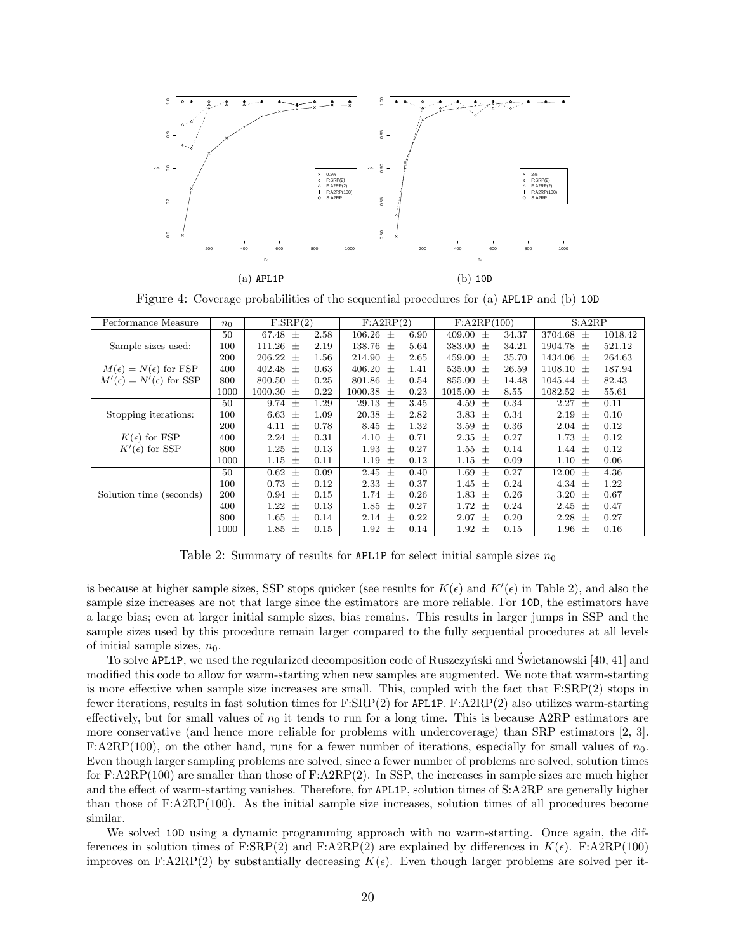

Figure 4: Coverage probabilities of the sequential procedures for (a) APL1P and (b) 10D

| Performance Measure                   | n <sub>0</sub> | F:SRP(2)           |      | F:A2RP(2)          |      | F: A2RP(100)      |       | S: A2RP            |         |
|---------------------------------------|----------------|--------------------|------|--------------------|------|-------------------|-------|--------------------|---------|
|                                       | 50             | 67.48 $\pm$        | 2.58 | $106.26 \pm$       | 6.90 | 409.00<br>$^{+}$  | 34.37 | $3704.68 \pm$      | 1018.42 |
| Sample sizes used:                    | 100            | 111.26<br>$^{+}$   | 2.19 | 138.76<br>$^{+}$   | 5.64 | 383.00<br>$^{+}$  | 34.21 | 1904.78<br>$^{+}$  | 521.12  |
|                                       | 200            | 206.22<br>$^{+}$   | 1.56 | 214.90<br>$^{+}$   | 2.65 | 459.00<br>$^{+}$  | 35.70 | 1434.06<br>$^{+}$  | 264.63  |
| $M(\epsilon) = N(\epsilon)$ for FSP   | 400            | 402.48<br>$^{+}$   | 0.63 | $406.20 \pm$       | 1.41 | 535.00<br>$^{+}$  | 26.59 | 1108.10<br>$^{+}$  | 187.94  |
| $M'(\epsilon) = N'(\epsilon)$ for SSP | 800            | $800.50 \pm$       | 0.25 | $801.86 \pm$       | 0.54 | 855.00<br>$^{+}$  | 14.48 | $1045.44 \pm$      | 82.43   |
|                                       | 1000           | 1000.30<br>$^{+}$  | 0.22 | $1000.38 \pm$      | 0.23 | 1015.00<br>$^{+}$ | 8.55  | $1082.52 \pm$      | 55.61   |
|                                       | 50             | 9.74 $\pm$         | 1.29 | 29.13<br>$^{+}$    | 3.45 | 4.59<br>$^{+}$    | 0.34  | 2.27<br>$+$        | 0.11    |
| Stopping iterations:                  | 100            | 6.63<br>$^{+}$     | 1.09 | 20.38<br>$\pm$     | 2.82 | 3.83<br>$^{+}$    | 0.34  | 2.19<br>$^{+}$     | 0.10    |
|                                       | 200            | 4.11<br>$^{+}$     | 0.78 | 8.45<br>$^{+}$     | 1.32 | 3.59<br>$^{+}$    | 0.36  | $2.04 \pm$         | 0.12    |
| $K(\epsilon)$ for FSP                 | 400            | $2.24 \pm$         | 0.31 | 4.10<br>$^{+}$     | 0.71 | 2.35<br>$^+$      | 0.27  | 1.73<br>$^{+}$     | 0.12    |
| $K'(\epsilon)$ for SSP                | 800            | 1.25<br>$^{+}$     | 0.13 | 1.93<br>$^{+}$     | 0.27 | 1.55<br>$^{+}$    | 0.14  | $1.44 \pm$         | 0.12    |
|                                       | 1000           | 1.15<br>$^{+}$     | 0.11 | 1.19<br>$^{+}$     | 0.12 | 1.15<br>$^{+}$    | 0.09  | $1.10\,$<br>$^{+}$ | 0.06    |
|                                       | 50             | 0.62<br>$^{+}$     | 0.09 | 2.45<br>$^{+}$     | 0.40 | 1.69<br>$^{+}$    | 0.27  | 12.00<br>$^{+}$    | 4.36    |
|                                       | 100            | 0.73<br>$^{+}$     | 0.12 | 2.33<br>$^{+}$     | 0.37 | 1.45<br>$^{+}$    | 0.24  | 4.34<br>$^{+}$     | 1.22    |
| Solution time (seconds)               | 200            | $0.94 \pm$         | 0.15 | 1.74<br>$^{+}$     | 0.26 | 1.83<br>$^{+}$    | 0.26  | 3.20<br>$^{+}$     | 0.67    |
|                                       | 400            | 1.22<br>$^{+}$     | 0.13 | 1.85<br>$^{+}$     | 0.27 | 1.72<br>$^{+}$    | 0.24  | 2.45<br>$^{+}$     | 0.47    |
|                                       | 800            | $1.65\,$<br>$^{+}$ | 0.14 | $2.14\,$<br>$^{+}$ | 0.22 | 2.07<br>$^{+}$    | 0.20  | 2.28<br>$^{+}$     | 0.27    |
|                                       | 1000           | $1.85 \pm$         | 0.15 | 1.92<br>$^{+}$     | 0.14 | 1.92<br>$^{+}$    | 0.15  | 1.96<br>$^{+}$     | 0.16    |

Table 2: Summary of results for APL1P for select initial sample sizes  $n_0$ 

is because at higher sample sizes, SSP stops quicker (see results for  $K(\epsilon)$  and  $K'(\epsilon)$  in Table 2), and also the sample size increases are not that large since the estimators are more reliable. For 10D, the estimators have a large bias; even at larger initial sample sizes, bias remains. This results in larger jumps in SSP and the sample sizes used by this procedure remain larger compared to the fully sequential procedures at all levels of initial sample sizes,  $n_0$ .

To solve APL1P, we used the regularized decomposition code of Ruszczynski and Świetanowski [40, 41] and modified this code to allow for warm-starting when new samples are augmented. We note that warm-starting is more effective when sample size increases are small. This, coupled with the fact that F:SRP(2) stops in fewer iterations, results in fast solution times for F:SRP(2) for APL1P. F:A2RP(2) also utilizes warm-starting effectively, but for small values of  $n_0$  it tends to run for a long time. This is because A2RP estimators are more conservative (and hence more reliable for problems with undercoverage) than SRP estimators [2, 3]. F:A2RP(100), on the other hand, runs for a fewer number of iterations, especially for small values of  $n_0$ . Even though larger sampling problems are solved, since a fewer number of problems are solved, solution times for  $F:A2RP(100)$  are smaller than those of  $F:A2RP(2)$ . In SSP, the increases in sample sizes are much higher and the effect of warm-starting vanishes. Therefore, for APL1P, solution times of S:A2RP are generally higher than those of F:A2RP(100). As the initial sample size increases, solution times of all procedures become similar.

We solved 10D using a dynamic programming approach with no warm-starting. Once again, the differences in solution times of F:SRP(2) and F:A2RP(2) are explained by differences in  $K(\epsilon)$ . F:A2RP(100) improves on F:A2RP(2) by substantially decreasing  $K(\epsilon)$ . Even though larger problems are solved per it-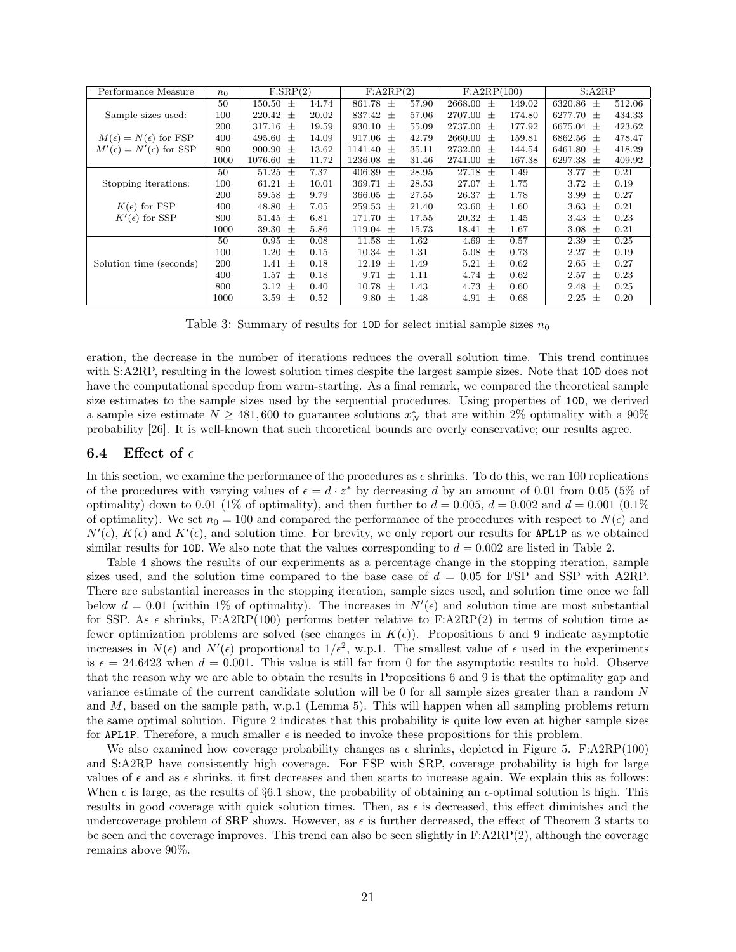| Performance Measure                   | n <sub>0</sub> | F:SRP(2)          |       | F: A2RP(2)        |       | F: A2RP(100)      |        | S: A2RP           |        |
|---------------------------------------|----------------|-------------------|-------|-------------------|-------|-------------------|--------|-------------------|--------|
|                                       | 50             | 150.50<br>$^{+}$  | 14.74 | 861.78<br>$^{+}$  | 57.90 | 2668.00<br>$^{+}$ | 149.02 | 6320.86<br>$^{+}$ | 512.06 |
| Sample sizes used:                    | 100            | 220.42<br>$^{+}$  | 20.02 | 837.42<br>$^{+}$  | 57.06 | 2707.00<br>$^{+}$ | 174.80 | 6277.70<br>$^{+}$ | 434.33 |
|                                       | 200            | 317.16<br>$^{+}$  | 19.59 | 930.10<br>$^{+}$  | 55.09 | 2737.00<br>$^{+}$ | 177.92 | 6675.04<br>$^{+}$ | 423.62 |
| $M(\epsilon) = N(\epsilon)$ for FSP   | 400            | 495.60<br>$^{+}$  | 14.09 | 917.06<br>$^{+}$  | 42.79 | 2660.00<br>$^{+}$ | 159.81 | 6862.56<br>$^{+}$ | 478.47 |
| $M'(\epsilon) = N'(\epsilon)$ for SSP | 800            | 900.90<br>$^{+}$  | 13.62 | 1141.40<br>$^{+}$ | 35.11 | 2732.00<br>$^{+}$ | 144.54 | 6461.80<br>$^{+}$ | 418.29 |
|                                       | 1000           | 1076.60<br>$^{+}$ | 11.72 | 1236.08<br>$^{+}$ | 31.46 | 2741.00<br>$^{+}$ | 167.38 | 6297.38<br>$^{+}$ | 409.92 |
|                                       | 50             | 51.25<br>$^{+}$   | 7.37  | 406.89<br>$^{+}$  | 28.95 | 27.18<br>$^{+}$   | 1.49   | 3.77<br>$^{+}$    | 0.21   |
| Stopping iterations:                  | 100            | 61.21<br>$^{+}$   | 10.01 | 369.71<br>$^{+}$  | 28.53 | 27.07<br>$^{+}$   | 1.75   | 3.72<br>$^{+}$    | 0.19   |
|                                       | 200            | 59.58<br>$^{+}$   | 9.79  | 366.05<br>$^{+}$  | 27.55 | 26.37<br>$^{+}$   | 1.78   | 3.99<br>$^{+}$    | 0.27   |
| $K(\epsilon)$ for FSP                 | 400            | 48.80<br>$^{+}$   | 7.05  | 259.53<br>$^{+}$  | 21.40 | 23.60<br>$^{+}$   | 1.60   | 3.63<br>$^+$      | 0.21   |
| $K'(\epsilon)$ for SSP                | 800            | 51.45<br>$^{+}$   | 6.81  | 171.70<br>$^{+}$  | 17.55 | 20.32<br>$^{+}$   | 1.45   | 3.43<br>$^+$      | 0.23   |
|                                       | 1000           | 39.30<br>$^{+}$   | 5.86  | 119.04<br>$^{+}$  | 15.73 | 18.41<br>$^{+}$   | 1.67   | 3.08<br>$^{+}$    | 0.21   |
|                                       | 50             | 0.95<br>$^{+}$    | 0.08  | 11.58<br>$^{+}$   | 1.62  | 4.69<br>$^{+}$    | 0.57   | 2.39<br>$^{+}$    | 0.25   |
|                                       | 100            | 1.20<br>$^{+}$    | 0.15  | 10.34<br>$^{+}$   | 1.31  | 5.08<br>$^{+}$    | 0.73   | 2.27<br>$^{+}$    | 0.19   |
| Solution time (seconds)               | 200            | $^{+}$<br>1.41    | 0.18  | 12.19<br>$^{+}$   | 1.49  | 5.21<br>$^{+}$    | 0.62   | 2.65<br>$^{+}$    | 0.27   |
|                                       | 400            | 1.57<br>$^{+}$    | 0.18  | 9.71<br>$^{+}$    | 1.11  | 4.74<br>$^{+}$    | 0.62   | 2.57<br>$^{+}$    | 0.23   |
|                                       | 800            | 3.12<br>$^{+}$    | 0.40  | 10.78<br>$^{+}$   | 1.43  | 4.73<br>$^{+}$    | 0.60   | 2.48<br>$^{+}$    | 0.25   |
|                                       | 1000           | 3.59<br>士         | 0.52  | 9.80<br>士         | 1.48  | 4.91<br>士         | 0.68   | $2.25\,$<br>士     | 0.20   |

Table 3: Summary of results for 10D for select initial sample sizes  $n_0$ 

eration, the decrease in the number of iterations reduces the overall solution time. This trend continues with S:A2RP, resulting in the lowest solution times despite the largest sample sizes. Note that 10D does not have the computational speedup from warm-starting. As a final remark, we compared the theoretical sample size estimates to the sample sizes used by the sequential procedures. Using properties of 10D, we derived a sample size estimate  $N \geq 481,600$  to guarantee solutions  $x_N^*$  that are within 2% optimality with a 90% probability [26]. It is well-known that such theoretical bounds are overly conservative; our results agree.

#### **6.4** Effect of  $\epsilon$

In this section, we examine the performance of the procedures as *ϵ* shrinks. To do this, we ran 100 replications of the procedures with varying values of  $\epsilon = d \cdot z^*$  by decreasing *d* by an amount of 0.01 from 0.05 (5% of optimality) down to 0.01 (1% of optimality), and then further to  $d = 0.005$ ,  $d = 0.002$  and  $d = 0.001$  (0.1%) of optimality). We set  $n_0 = 100$  and compared the performance of the procedures with respect to  $N(\epsilon)$  and  $N'(\epsilon)$ ,  $K(\epsilon)$  and  $K'(\epsilon)$ , and solution time. For brevity, we only report our results for APL1P as we obtained similar results for 10D. We also note that the values corresponding to  $d = 0.002$  are listed in Table 2.

Table 4 shows the results of our experiments as a percentage change in the stopping iteration, sample sizes used, and the solution time compared to the base case of  $d = 0.05$  for FSP and SSP with A2RP. There are substantial increases in the stopping iteration, sample sizes used, and solution time once we fall below  $d = 0.01$  (within 1% of optimality). The increases in  $N'(\epsilon)$  and solution time are most substantial for SSP. As  $\epsilon$  shrinks, F:A2RP(100) performs better relative to F:A2RP(2) in terms of solution time as fewer optimization problems are solved (see changes in  $K(\epsilon)$ ). Propositions 6 and 9 indicate asymptotic increases in  $N(\epsilon)$  and  $N'(\epsilon)$  proportional to  $1/\epsilon^2$ , w.p.1. The smallest value of  $\epsilon$  used in the experiments is  $\epsilon = 24.6423$  when  $d = 0.001$ . This value is still far from 0 for the asymptotic results to hold. Observe that the reason why we are able to obtain the results in Propositions 6 and 9 is that the optimality gap and variance estimate of the current candidate solution will be 0 for all sample sizes greater than a random *N* and *M*, based on the sample path, w.p.1 (Lemma 5). This will happen when all sampling problems return the same optimal solution. Figure 2 indicates that this probability is quite low even at higher sample sizes for APL1P. Therefore, a much smaller  $\epsilon$  is needed to invoke these propositions for this problem.

We also examined how coverage probability changes as  $\epsilon$  shrinks, depicted in Figure 5. F:A2RP(100) and S:A2RP have consistently high coverage. For FSP with SRP, coverage probability is high for large values of  $\epsilon$  and as  $\epsilon$  shrinks, it first decreases and then starts to increase again. We explain this as follows: When  $\epsilon$  is large, as the results of  $\S6.1$  show, the probability of obtaining an  $\epsilon$ -optimal solution is high. This results in good coverage with quick solution times. Then, as  $\epsilon$  is decreased, this effect diminishes and the undercoverage problem of SRP shows. However, as  $\epsilon$  is further decreased, the effect of Theorem 3 starts to be seen and the coverage improves. This trend can also be seen slightly in F:A2RP(2), although the coverage remains above 90%.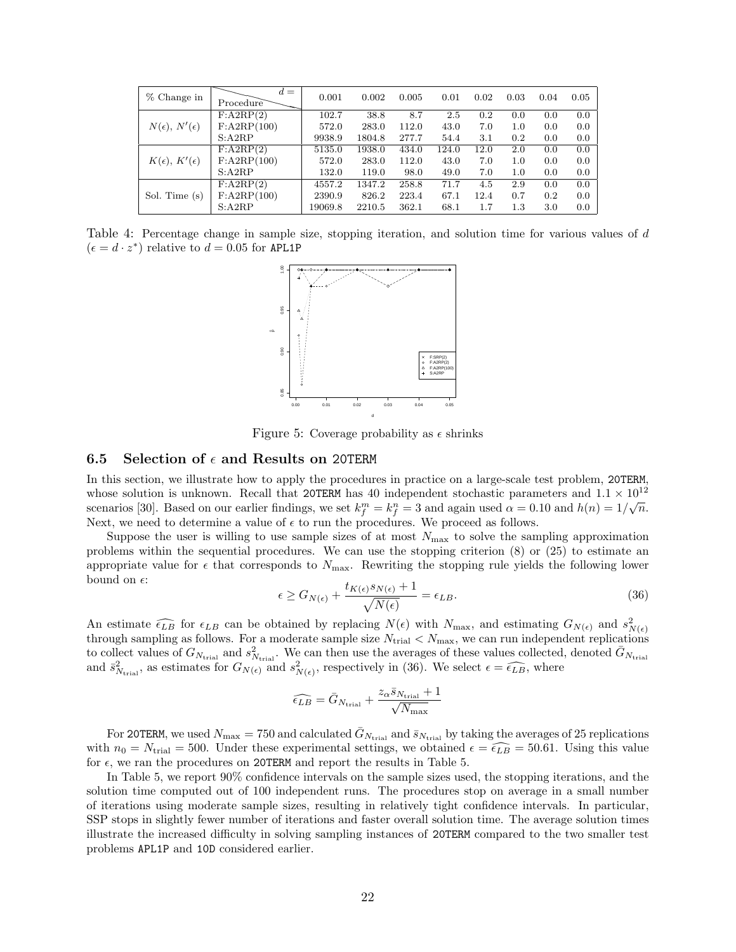| % Change in                    | $d =$<br>Procedure   | 0.001   | 0.002  | 0.005 | 0.01  | 0.02 | 0.03 | 0.04 | 0.05 |
|--------------------------------|----------------------|---------|--------|-------|-------|------|------|------|------|
|                                | F: A2RP(2)           | 102.7   | 38.8   | 8.7   | 2.5   | 0.2  | 0.0  | 0.0  | 0.0  |
| $N(\epsilon)$ , $N'(\epsilon)$ | $F:\text{A2RP}(100)$ | 572.0   | 283.0  | 112.0 | 43.0  | 7.0  | 1.0  | 0.0  | 0.0  |
|                                | S: A2RP              | 9938.9  | 1804.8 | 277.7 | 54.4  | 3.1  | 0.2  | 0.0  | 0.0  |
| $K(\epsilon)$ , $K'(\epsilon)$ | F: A2RP(2)           | 5135.0  | 1938.0 | 434.0 | 124.0 | 12.0 | 2.0  | 0.0  | 0.0  |
|                                | $F:\text{A2RP}(100)$ | 572.0   | 283.0  | 112.0 | 43.0  | 7.0  | 1.0  | 0.0  | 0.0  |
|                                | S: A2RP              | 132.0   | 119.0  | 98.0  | 49.0  | 7.0  | 1.0  | 0.0  | 0.0  |
| Sol. Time (s)                  | F: A2RP(2)           | 4557.2  | 1347.2 | 258.8 | 71.7  | 4.5  | 2.9  | 0.0  | 0.0  |
|                                | F: A2RP(100)         | 2390.9  | 826.2  | 223.4 | 67.1  | 12.4 | 0.7  | 0.2  | 0.0  |
|                                | S: A2RP              | 19069.8 | 2210.5 | 362.1 | 68.1  | 1.7  | 1.3  | 3.0  | 0.0  |

Table 4: Percentage change in sample size, stopping iteration, and solution time for various values of *d*  $(\epsilon = d \cdot z^*)$  relative to  $d = 0.05$  for APL1P



Figure 5: Coverage probability as *ϵ* shrinks

## **6.5** Selection of  $\epsilon$  and Results on 20TERM

In this section, we illustrate how to apply the procedures in practice on a large-scale test problem, 20TERM, whose solution is unknown. Recall that 20TERM has 40 independent stochastic parameters and  $1.1 \times 10^{12}$ scenarios [30]. Based on our earlier findings, we set  $k_f^m = k_f^n = 3$  and again used  $\alpha = 0.10$  and  $h(n) = 1/\sqrt{n}$ . Next, we need to determine a value of  $\epsilon$  to run the procedures. We proceed as follows.

Suppose the user is willing to use sample sizes of at most  $N_{\text{max}}$  to solve the sampling approximation problems within the sequential procedures. We can use the stopping criterion (8) or (25) to estimate an appropriate value for  $\epsilon$  that corresponds to  $N_{\text{max}}$ . Rewriting the stopping rule yields the following lower bound on  $\epsilon$ :

$$
\epsilon \ge G_{N(\epsilon)} + \frac{t_{K(\epsilon)}s_{N(\epsilon)} + 1}{\sqrt{N(\epsilon)}} = \epsilon_{LB}.
$$
\n(36)

An estimate  $\widehat{\epsilon_{LB}}$  for  $\epsilon_{LB}$  can be obtained by replacing  $N(\epsilon)$  with  $N_{\text{max}}$ , and estimating  $G_{N(\epsilon)}$  and  $s_{N(\epsilon)}^2$ through sampling as follows. For a moderate sample size  $N_{\text{trial}} < N_{\text{max}}$ , we can run independent replications to collect values of  $G_{N_{\text{trial}}}$  and  $s_{N_{\text{trial}}}^2$ . We can then use the averages of these values collected, denoted  $\bar{G}_{N_{\text{trial}}}$ and  $\bar{s}_{N_{\text{trial}}}^2$ , as estimates for  $G_{N(\epsilon)}$  and  $s_{N(\epsilon)}^2$ , respectively in (36). We select  $\epsilon = \widehat{\epsilon_{LB}}$ , where

$$
\widehat{\epsilon_{LB}} = \bar{G}_{N_{\mathrm{trial}}} + \frac{z_{\alpha} \bar{s}_{N_{\mathrm{trial}}} + 1}{\sqrt{N_{\mathrm{max}}}}
$$

For 20TERM, we used  $N_{\text{max}} = 750$  and calculated  $\bar{G}_{N_{\text{trial}}}$  and  $\bar{s}_{N_{\text{trial}}}$  by taking the averages of 25 replications with  $n_0 = N_{\text{trial}} = 500$ . Under these experimental settings, we obtained  $\epsilon = \widehat{\epsilon_{LB}} = 50.61$ . Using this value for  $\epsilon$ , we ran the procedures on 20TERM and report the results in Table 5.

In Table 5, we report 90% confidence intervals on the sample sizes used, the stopping iterations, and the solution time computed out of 100 independent runs. The procedures stop on average in a small number of iterations using moderate sample sizes, resulting in relatively tight confidence intervals. In particular, SSP stops in slightly fewer number of iterations and faster overall solution time. The average solution times illustrate the increased difficulty in solving sampling instances of 20TERM compared to the two smaller test problems APL1P and 10D considered earlier.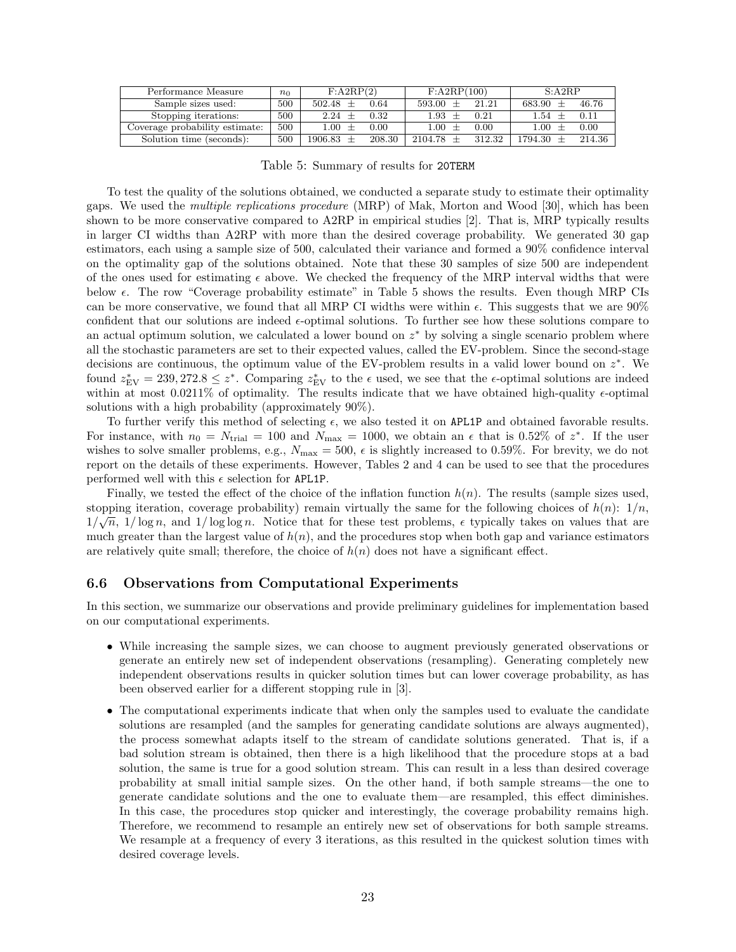| Performance Measure            | $n_0$ | $F:\text{A2RP}(2)$ |        | F: A2RP(100) |        | S: A2RP    |        |  |
|--------------------------------|-------|--------------------|--------|--------------|--------|------------|--------|--|
| Sample sizes used:             | 500   | $502.48 \pm$       | 0.64   | $593.00 \pm$ | 21.21  | $683.90 +$ | 46.76  |  |
| Stopping iterations:           | 500   | 2.24               | 0.32   | 1.93         | 0.21   | 1.54       | 0.11   |  |
| Coverage probability estimate: | 500   | $1.00 +$           | 0.00   |              | 0.00   | $1.00\,$   | 0.00   |  |
| Solution time (seconds):       | 500   | $1906.83 +$        | 208.30 | $2104.78 +$  | 312.32 | 1794.30    | 214.36 |  |

Table 5: Summary of results for 20TERM

To test the quality of the solutions obtained, we conducted a separate study to estimate their optimality gaps. We used the *multiple replications procedure* (MRP) of Mak, Morton and Wood [30], which has been shown to be more conservative compared to A2RP in empirical studies [2]. That is, MRP typically results in larger CI widths than A2RP with more than the desired coverage probability. We generated 30 gap estimators, each using a sample size of 500, calculated their variance and formed a 90% confidence interval on the optimality gap of the solutions obtained. Note that these 30 samples of size 500 are independent of the ones used for estimating  $\epsilon$  above. We checked the frequency of the MRP interval widths that were below *ϵ*. The row "Coverage probability estimate" in Table 5 shows the results. Even though MRP CIs can be more conservative, we found that all MRP CI widths were within *ϵ*. This suggests that we are 90% confident that our solutions are indeed *ϵ*-optimal solutions. To further see how these solutions compare to an actual optimum solution, we calculated a lower bound on *z <sup>∗</sup>* by solving a single scenario problem where all the stochastic parameters are set to their expected values, called the EV-problem. Since the second-stage decisions are continuous, the optimum value of the EV-problem results in a valid lower bound on *z ∗* . We found  $z_{EV}^* = 239,272.8 \leq z^*$ . Comparing  $z_{EV}^*$  to the  $\epsilon$  used, we see that the  $\epsilon$ -optimal solutions are indeed within at most  $0.0211\%$  of optimality. The results indicate that we have obtained high-quality  $\epsilon$ -optimal solutions with a high probability (approximately 90%).

To further verify this method of selecting *ϵ*, we also tested it on APL1P and obtained favorable results. For instance, with  $n_0 = N_{\text{trial}} = 100$  and  $N_{\text{max}} = 1000$ , we obtain an  $\epsilon$  that is 0.52% of  $z^*$ . If the user wishes to solve smaller problems, e.g.,  $N_{\text{max}} = 500$ ,  $\epsilon$  is slightly increased to 0.59%. For brevity, we do not report on the details of these experiments. However, Tables 2 and 4 can be used to see that the procedures performed well with this  $\epsilon$  selection for APL1P.

Finally, we tested the effect of the choice of the inflation function  $h(n)$ . The results (sample sizes used, stopping iteration, coverage probability) remain virtually the same for the following choices of  $h(n)$ : 1/*n*,  $1/\sqrt{n}$ ,  $1/\log n$ , and  $1/\log \log n$ . Notice that for these test problems,  $\epsilon$  typically takes on values that are much greater than the largest value of  $h(n)$ , and the procedures stop when both gap and variance estimators are relatively quite small; therefore, the choice of  $h(n)$  does not have a significant effect.

## **6.6 Observations from Computational Experiments**

In this section, we summarize our observations and provide preliminary guidelines for implementation based on our computational experiments.

- While increasing the sample sizes, we can choose to augment previously generated observations or generate an entirely new set of independent observations (resampling). Generating completely new independent observations results in quicker solution times but can lower coverage probability, as has been observed earlier for a different stopping rule in [3].
- The computational experiments indicate that when only the samples used to evaluate the candidate solutions are resampled (and the samples for generating candidate solutions are always augmented), the process somewhat adapts itself to the stream of candidate solutions generated. That is, if a bad solution stream is obtained, then there is a high likelihood that the procedure stops at a bad solution, the same is true for a good solution stream. This can result in a less than desired coverage probability at small initial sample sizes. On the other hand, if both sample streams—the one to generate candidate solutions and the one to evaluate them—are resampled, this effect diminishes. In this case, the procedures stop quicker and interestingly, the coverage probability remains high. Therefore, we recommend to resample an entirely new set of observations for both sample streams. We resample at a frequency of every 3 iterations, as this resulted in the quickest solution times with desired coverage levels.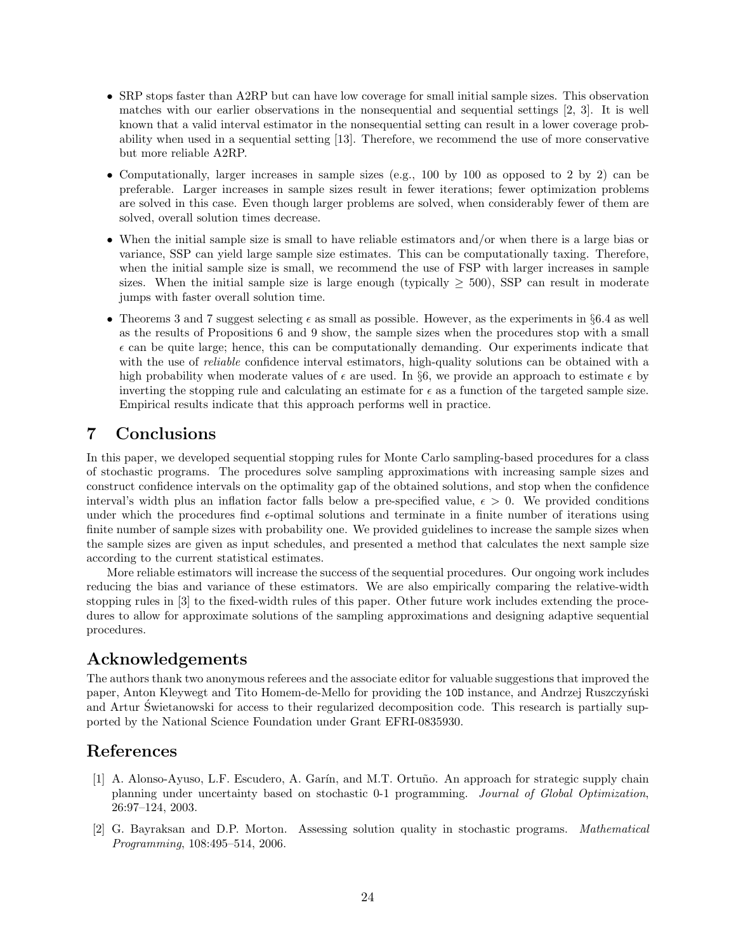- SRP stops faster than A2RP but can have low coverage for small initial sample sizes. This observation matches with our earlier observations in the nonsequential and sequential settings [2, 3]. It is well known that a valid interval estimator in the nonsequential setting can result in a lower coverage probability when used in a sequential setting [13]. Therefore, we recommend the use of more conservative but more reliable A2RP.
- Computationally, larger increases in sample sizes (e.g., 100 by 100 as opposed to 2 by 2) can be preferable. Larger increases in sample sizes result in fewer iterations; fewer optimization problems are solved in this case. Even though larger problems are solved, when considerably fewer of them are solved, overall solution times decrease.
- When the initial sample size is small to have reliable estimators and/or when there is a large bias or variance, SSP can yield large sample size estimates. This can be computationally taxing. Therefore, when the initial sample size is small, we recommend the use of FSP with larger increases in sample sizes. When the initial sample size is large enough (typically  $>$  500), SSP can result in moderate jumps with faster overall solution time.
- *•* Theorems 3 and 7 suggest selecting *ϵ* as small as possible. However, as the experiments in *§*6.4 as well as the results of Propositions 6 and 9 show, the sample sizes when the procedures stop with a small  $\epsilon$  can be quite large; hence, this can be computationally demanding. Our experiments indicate that with the use of *reliable* confidence interval estimators, high-quality solutions can be obtained with a high probability when moderate values of  $\epsilon$  are used. In §6, we provide an approach to estimate  $\epsilon$  by inverting the stopping rule and calculating an estimate for  $\epsilon$  as a function of the targeted sample size. Empirical results indicate that this approach performs well in practice.

## **7 Conclusions**

In this paper, we developed sequential stopping rules for Monte Carlo sampling-based procedures for a class of stochastic programs. The procedures solve sampling approximations with increasing sample sizes and construct confidence intervals on the optimality gap of the obtained solutions, and stop when the confidence interval's width plus an inflation factor falls below a pre-specified value,  $\epsilon > 0$ . We provided conditions under which the procedures find *ϵ*-optimal solutions and terminate in a finite number of iterations using finite number of sample sizes with probability one. We provided guidelines to increase the sample sizes when the sample sizes are given as input schedules, and presented a method that calculates the next sample size according to the current statistical estimates.

More reliable estimators will increase the success of the sequential procedures. Our ongoing work includes reducing the bias and variance of these estimators. We are also empirically comparing the relative-width stopping rules in [3] to the fixed-width rules of this paper. Other future work includes extending the procedures to allow for approximate solutions of the sampling approximations and designing adaptive sequential procedures.

## **Acknowledgements**

The authors thank two anonymous referees and the associate editor for valuable suggestions that improved the paper, Anton Kleywegt and Tito Homem-de-Mello for providing the 10D instance, and Andrzej Ruszczyński and Artur Swietanowski for access to their regularized decomposition code. This research is partially supported by the National Science Foundation under Grant EFRI-0835930.

## **References**

- [1] A. Alonso-Ayuso, L.F. Escudero, A. Garín, and M.T. Ortuño. An approach for strategic supply chain planning under uncertainty based on stochastic 0-1 programming. *Journal of Global Optimization*, 26:97–124, 2003.
- [2] G. Bayraksan and D.P. Morton. Assessing solution quality in stochastic programs. *Mathematical Programming*, 108:495–514, 2006.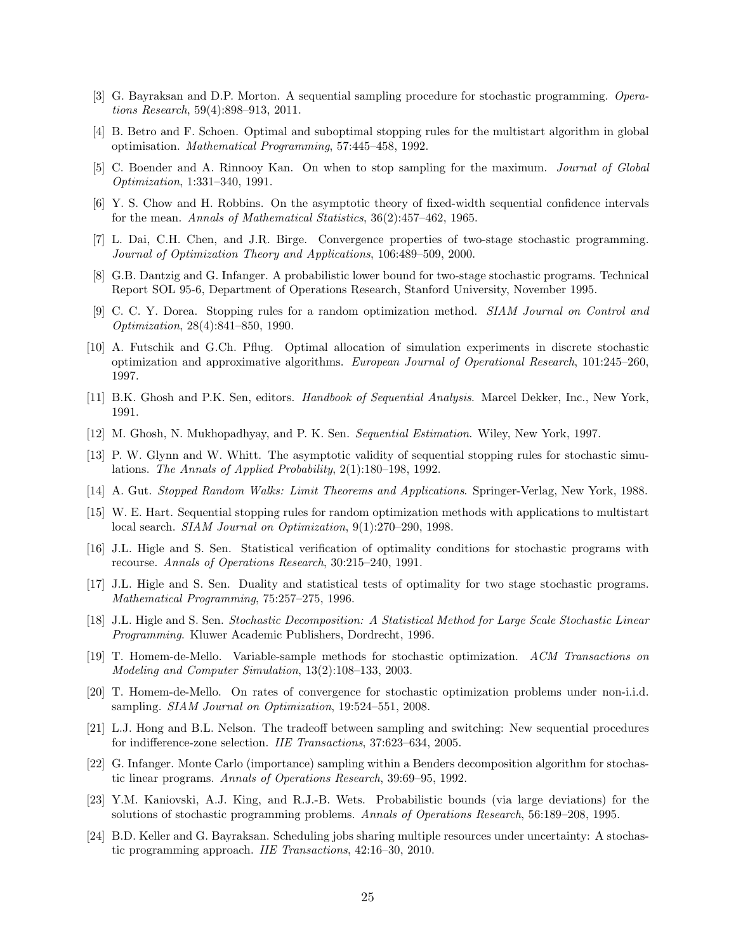- [3] G. Bayraksan and D.P. Morton. A sequential sampling procedure for stochastic programming. *Operations Research*, 59(4):898–913, 2011.
- [4] B. Betro and F. Schoen. Optimal and suboptimal stopping rules for the multistart algorithm in global optimisation. *Mathematical Programming*, 57:445–458, 1992.
- [5] C. Boender and A. Rinnooy Kan. On when to stop sampling for the maximum. *Journal of Global Optimization*, 1:331–340, 1991.
- [6] Y. S. Chow and H. Robbins. On the asymptotic theory of fixed-width sequential confidence intervals for the mean. *Annals of Mathematical Statistics*, 36(2):457–462, 1965.
- [7] L. Dai, C.H. Chen, and J.R. Birge. Convergence properties of two-stage stochastic programming. *Journal of Optimization Theory and Applications*, 106:489–509, 2000.
- [8] G.B. Dantzig and G. Infanger. A probabilistic lower bound for two-stage stochastic programs. Technical Report SOL 95-6, Department of Operations Research, Stanford University, November 1995.
- [9] C. C. Y. Dorea. Stopping rules for a random optimization method. *SIAM Journal on Control and Optimization*, 28(4):841–850, 1990.
- [10] A. Futschik and G.Ch. Pflug. Optimal allocation of simulation experiments in discrete stochastic optimization and approximative algorithms. *European Journal of Operational Research*, 101:245–260, 1997.
- [11] B.K. Ghosh and P.K. Sen, editors. *Handbook of Sequential Analysis*. Marcel Dekker, Inc., New York, 1991.
- [12] M. Ghosh, N. Mukhopadhyay, and P. K. Sen. *Sequential Estimation*. Wiley, New York, 1997.
- [13] P. W. Glynn and W. Whitt. The asymptotic validity of sequential stopping rules for stochastic simulations. *The Annals of Applied Probability*, 2(1):180–198, 1992.
- [14] A. Gut. *Stopped Random Walks: Limit Theorems and Applications*. Springer-Verlag, New York, 1988.
- [15] W. E. Hart. Sequential stopping rules for random optimization methods with applications to multistart local search. *SIAM Journal on Optimization*, 9(1):270–290, 1998.
- [16] J.L. Higle and S. Sen. Statistical verification of optimality conditions for stochastic programs with recourse. *Annals of Operations Research*, 30:215–240, 1991.
- [17] J.L. Higle and S. Sen. Duality and statistical tests of optimality for two stage stochastic programs. *Mathematical Programming*, 75:257–275, 1996.
- [18] J.L. Higle and S. Sen. *Stochastic Decomposition: A Statistical Method for Large Scale Stochastic Linear Programming*. Kluwer Academic Publishers, Dordrecht, 1996.
- [19] T. Homem-de-Mello. Variable-sample methods for stochastic optimization. *ACM Transactions on Modeling and Computer Simulation*, 13(2):108–133, 2003.
- [20] T. Homem-de-Mello. On rates of convergence for stochastic optimization problems under non-i.i.d. sampling. *SIAM Journal on Optimization*, 19:524–551, 2008.
- [21] L.J. Hong and B.L. Nelson. The tradeoff between sampling and switching: New sequential procedures for indifference-zone selection. *IIE Transactions*, 37:623–634, 2005.
- [22] G. Infanger. Monte Carlo (importance) sampling within a Benders decomposition algorithm for stochastic linear programs. *Annals of Operations Research*, 39:69–95, 1992.
- [23] Y.M. Kaniovski, A.J. King, and R.J.-B. Wets. Probabilistic bounds (via large deviations) for the solutions of stochastic programming problems. *Annals of Operations Research*, 56:189–208, 1995.
- [24] B.D. Keller and G. Bayraksan. Scheduling jobs sharing multiple resources under uncertainty: A stochastic programming approach. *IIE Transactions*, 42:16–30, 2010.